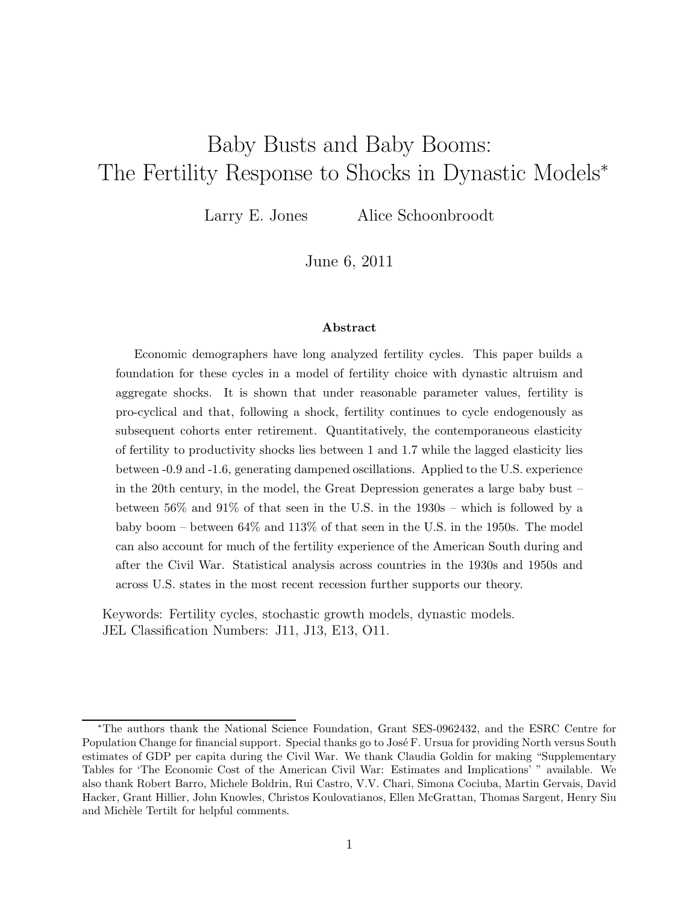# Baby Busts and Baby Booms: The Fertility Response to Shocks in Dynastic Models<sup>∗</sup>

Larry E. Jones Alice Schoonbroodt

June 6, 2011

#### Abstract

Economic demographers have long analyzed fertility cycles. This paper builds a foundation for these cycles in a model of fertility choice with dynastic altruism and aggregate shocks. It is shown that under reasonable parameter values, fertility is pro-cyclical and that, following a shock, fertility continues to cycle endogenously as subsequent cohorts enter retirement. Quantitatively, the contemporaneous elasticity of fertility to productivity shocks lies between 1 and 1.7 while the lagged elasticity lies between -0.9 and -1.6, generating dampened oscillations. Applied to the U.S. experience in the 20th century, in the model, the Great Depression generates a large baby bust – between 56% and 91% of that seen in the U.S. in the 1930s – which is followed by a baby boom – between 64% and 113% of that seen in the U.S. in the 1950s. The model can also account for much of the fertility experience of the American South during and after the Civil War. Statistical analysis across countries in the 1930s and 1950s and across U.S. states in the most recent recession further supports our theory.

Keywords: Fertility cycles, stochastic growth models, dynastic models. JEL Classification Numbers: J11, J13, E13, O11.

<sup>∗</sup>The authors thank the National Science Foundation, Grant SES-0962432, and the ESRC Centre for Population Change for financial support. Special thanks go to José F. Ursua for providing North versus South estimates of GDP per capita during the Civil War. We thank Claudia Goldin for making "Supplementary Tables for 'The Economic Cost of the American Civil War: Estimates and Implications' " available. We also thank Robert Barro, Michele Boldrin, Rui Castro, V.V. Chari, Simona Cociuba, Martin Gervais, David Hacker, Grant Hillier, John Knowles, Christos Koulovatianos, Ellen McGrattan, Thomas Sargent, Henry Siu and Michèle Tertilt for helpful comments.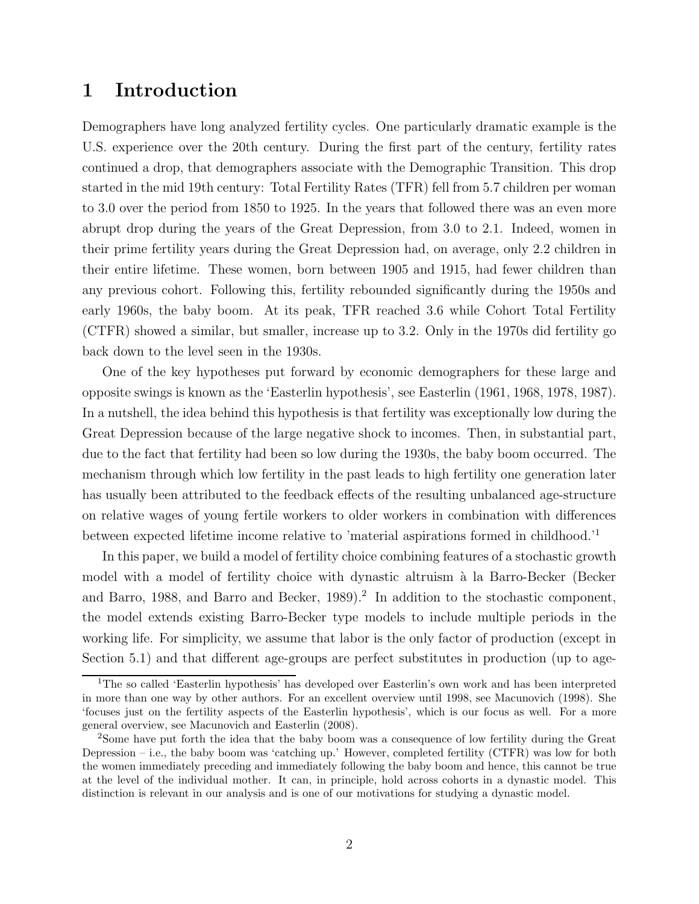# 1 Introduction

Demographers have long analyzed fertility cycles. One particularly dramatic example is the U.S. experience over the 20th century. During the first part of the century, fertility rates continued a drop, that demographers associate with the Demographic Transition. This drop started in the mid 19th century: Total Fertility Rates (TFR) fell from 5.7 children per woman to 3.0 over the period from 1850 to 1925. In the years that followed there was an even more abrupt drop during the years of the Great Depression, from 3.0 to 2.1. Indeed, women in their prime fertility years during the Great Depression had, on average, only 2.2 children in their entire lifetime. These women, born between 1905 and 1915, had fewer children than any previous cohort. Following this, fertility rebounded significantly during the 1950s and early 1960s, the baby boom. At its peak, TFR reached 3.6 while Cohort Total Fertility (CTFR) showed a similar, but smaller, increase up to 3.2. Only in the 1970s did fertility go back down to the level seen in the 1930s.

One of the key hypotheses put forward by economic demographers for these large and opposite swings is known as the 'Easterlin hypothesis', see Easterlin (1961, 1968, 1978, 1987). In a nutshell, the idea behind this hypothesis is that fertility was exceptionally low during the Great Depression because of the large negative shock to incomes. Then, in substantial part, due to the fact that fertility had been so low during the 1930s, the baby boom occurred. The mechanism through which low fertility in the past leads to high fertility one generation later has usually been attributed to the feedback effects of the resulting unbalanced age-structure on relative wages of young fertile workers to older workers in combination with differences between expected lifetime income relative to 'material aspirations formed in childhood.'<sup>1</sup>

In this paper, we build a model of fertility choice combining features of a stochastic growth model with a model of fertility choice with dynastic altruism à la Barro-Becker (Becker and Barro, 1988, and Barro and Becker, 1989).<sup>2</sup> In addition to the stochastic component, the model extends existing Barro-Becker type models to include multiple periods in the working life. For simplicity, we assume that labor is the only factor of production (except in Section 5.1) and that different age-groups are perfect substitutes in production (up to age-

<sup>&</sup>lt;sup>1</sup>The so called 'Easterlin hypothesis' has developed over Easterlin's own work and has been interpreted in more than one way by other authors. For an excellent overview until 1998, see Macunovich (1998). She 'focuses just on the fertility aspects of the Easterlin hypothesis', which is our focus as well. For a more general overview, see Macunovich and Easterlin (2008).

<sup>2</sup>Some have put forth the idea that the baby boom was a consequence of low fertility during the Great Depression – i.e., the baby boom was 'catching up.' However, completed fertility (CTFR) was low for both the women immediately preceding and immediately following the baby boom and hence, this cannot be true at the level of the individual mother. It can, in principle, hold across cohorts in a dynastic model. This distinction is relevant in our analysis and is one of our motivations for studying a dynastic model.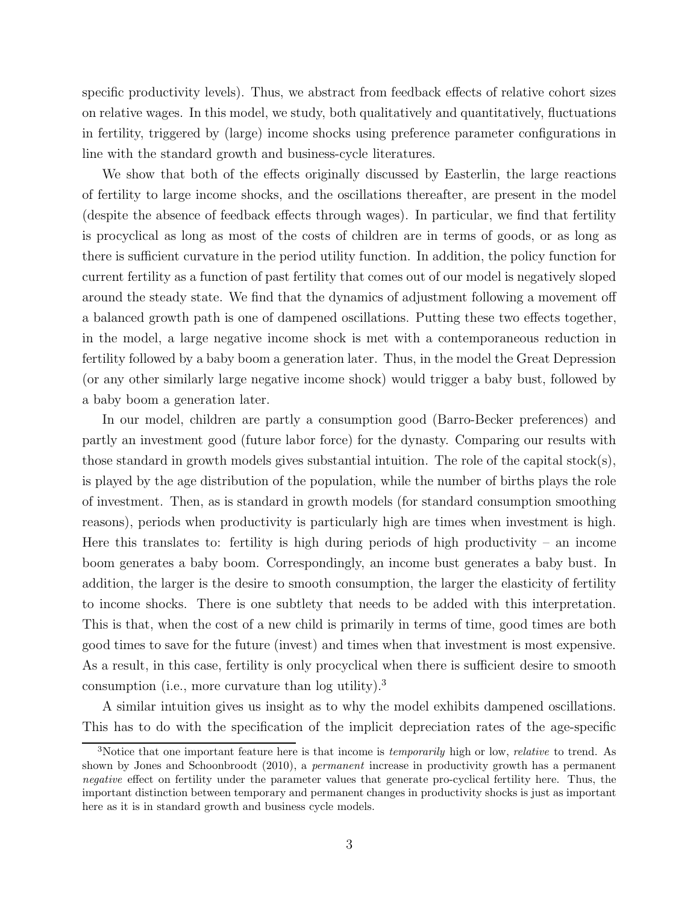specific productivity levels). Thus, we abstract from feedback effects of relative cohort sizes on relative wages. In this model, we study, both qualitatively and quantitatively, fluctuations in fertility, triggered by (large) income shocks using preference parameter configurations in line with the standard growth and business-cycle literatures.

We show that both of the effects originally discussed by Easterlin, the large reactions of fertility to large income shocks, and the oscillations thereafter, are present in the model (despite the absence of feedback effects through wages). In particular, we find that fertility is procyclical as long as most of the costs of children are in terms of goods, or as long as there is sufficient curvature in the period utility function. In addition, the policy function for current fertility as a function of past fertility that comes out of our model is negatively sloped around the steady state. We find that the dynamics of adjustment following a movement off a balanced growth path is one of dampened oscillations. Putting these two effects together, in the model, a large negative income shock is met with a contemporaneous reduction in fertility followed by a baby boom a generation later. Thus, in the model the Great Depression (or any other similarly large negative income shock) would trigger a baby bust, followed by a baby boom a generation later.

In our model, children are partly a consumption good (Barro-Becker preferences) and partly an investment good (future labor force) for the dynasty. Comparing our results with those standard in growth models gives substantial intuition. The role of the capital stock(s), is played by the age distribution of the population, while the number of births plays the role of investment. Then, as is standard in growth models (for standard consumption smoothing reasons), periods when productivity is particularly high are times when investment is high. Here this translates to: fertility is high during periods of high productivity – an income boom generates a baby boom. Correspondingly, an income bust generates a baby bust. In addition, the larger is the desire to smooth consumption, the larger the elasticity of fertility to income shocks. There is one subtlety that needs to be added with this interpretation. This is that, when the cost of a new child is primarily in terms of time, good times are both good times to save for the future (invest) and times when that investment is most expensive. As a result, in this case, fertility is only procyclical when there is sufficient desire to smooth consumption (i.e., more curvature than log utility).<sup>3</sup>

A similar intuition gives us insight as to why the model exhibits dampened oscillations. This has to do with the specification of the implicit depreciation rates of the age-specific

<sup>&</sup>lt;sup>3</sup>Notice that one important feature here is that income is *temporarily* high or low, *relative* to trend. As shown by Jones and Schoonbroodt (2010), a permanent increase in productivity growth has a permanent negative effect on fertility under the parameter values that generate pro-cyclical fertility here. Thus, the important distinction between temporary and permanent changes in productivity shocks is just as important here as it is in standard growth and business cycle models.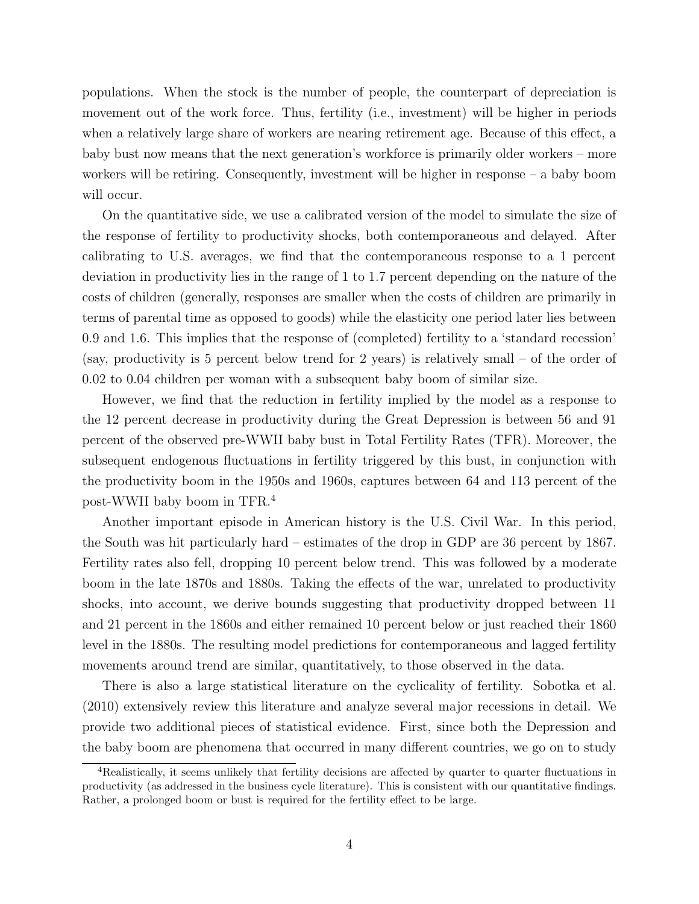populations. When the stock is the number of people, the counterpart of depreciation is movement out of the work force. Thus, fertility (i.e., investment) will be higher in periods when a relatively large share of workers are nearing retirement age. Because of this effect, a baby bust now means that the next generation's workforce is primarily older workers – more workers will be retiring. Consequently, investment will be higher in response – a baby boom will occur.

On the quantitative side, we use a calibrated version of the model to simulate the size of the response of fertility to productivity shocks, both contemporaneous and delayed. After calibrating to U.S. averages, we find that the contemporaneous response to a 1 percent deviation in productivity lies in the range of 1 to 1.7 percent depending on the nature of the costs of children (generally, responses are smaller when the costs of children are primarily in terms of parental time as opposed to goods) while the elasticity one period later lies between 0.9 and 1.6. This implies that the response of (completed) fertility to a 'standard recession' (say, productivity is 5 percent below trend for 2 years) is relatively small – of the order of 0.02 to 0.04 children per woman with a subsequent baby boom of similar size.

However, we find that the reduction in fertility implied by the model as a response to the 12 percent decrease in productivity during the Great Depression is between 56 and 91 percent of the observed pre-WWII baby bust in Total Fertility Rates (TFR). Moreover, the subsequent endogenous fluctuations in fertility triggered by this bust, in conjunction with the productivity boom in the 1950s and 1960s, captures between 64 and 113 percent of the post-WWII baby boom in TFR.<sup>4</sup>

Another important episode in American history is the U.S. Civil War. In this period, the South was hit particularly hard – estimates of the drop in GDP are 36 percent by 1867. Fertility rates also fell, dropping 10 percent below trend. This was followed by a moderate boom in the late 1870s and 1880s. Taking the effects of the war, unrelated to productivity shocks, into account, we derive bounds suggesting that productivity dropped between 11 and 21 percent in the 1860s and either remained 10 percent below or just reached their 1860 level in the 1880s. The resulting model predictions for contemporaneous and lagged fertility movements around trend are similar, quantitatively, to those observed in the data.

There is also a large statistical literature on the cyclicality of fertility. Sobotka et al. (2010) extensively review this literature and analyze several major recessions in detail. We provide two additional pieces of statistical evidence. First, since both the Depression and the baby boom are phenomena that occurred in many different countries, we go on to study

<sup>4</sup>Realistically, it seems unlikely that fertility decisions are affected by quarter to quarter fluctuations in productivity (as addressed in the business cycle literature). This is consistent with our quantitative findings. Rather, a prolonged boom or bust is required for the fertility effect to be large.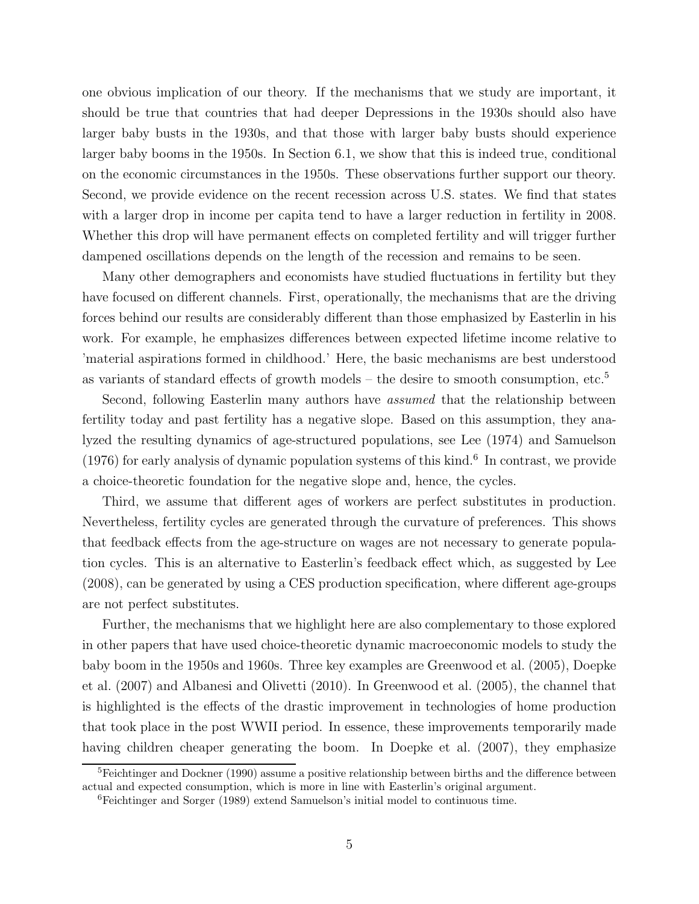one obvious implication of our theory. If the mechanisms that we study are important, it should be true that countries that had deeper Depressions in the 1930s should also have larger baby busts in the 1930s, and that those with larger baby busts should experience larger baby booms in the 1950s. In Section 6.1, we show that this is indeed true, conditional on the economic circumstances in the 1950s. These observations further support our theory. Second, we provide evidence on the recent recession across U.S. states. We find that states with a larger drop in income per capita tend to have a larger reduction in fertility in 2008. Whether this drop will have permanent effects on completed fertility and will trigger further dampened oscillations depends on the length of the recession and remains to be seen.

Many other demographers and economists have studied fluctuations in fertility but they have focused on different channels. First, operationally, the mechanisms that are the driving forces behind our results are considerably different than those emphasized by Easterlin in his work. For example, he emphasizes differences between expected lifetime income relative to 'material aspirations formed in childhood.' Here, the basic mechanisms are best understood as variants of standard effects of growth models – the desire to smooth consumption, etc. $5$ 

Second, following Easterlin many authors have *assumed* that the relationship between fertility today and past fertility has a negative slope. Based on this assumption, they analyzed the resulting dynamics of age-structured populations, see Lee (1974) and Samuelson  $(1976)$  for early analysis of dynamic population systems of this kind.<sup>6</sup> In contrast, we provide a choice-theoretic foundation for the negative slope and, hence, the cycles.

Third, we assume that different ages of workers are perfect substitutes in production. Nevertheless, fertility cycles are generated through the curvature of preferences. This shows that feedback effects from the age-structure on wages are not necessary to generate population cycles. This is an alternative to Easterlin's feedback effect which, as suggested by Lee (2008), can be generated by using a CES production specification, where different age-groups are not perfect substitutes.

Further, the mechanisms that we highlight here are also complementary to those explored in other papers that have used choice-theoretic dynamic macroeconomic models to study the baby boom in the 1950s and 1960s. Three key examples are Greenwood et al. (2005), Doepke et al. (2007) and Albanesi and Olivetti (2010). In Greenwood et al. (2005), the channel that is highlighted is the effects of the drastic improvement in technologies of home production that took place in the post WWII period. In essence, these improvements temporarily made having children cheaper generating the boom. In Doepke et al. (2007), they emphasize

<sup>&</sup>lt;sup>5</sup>Feichtinger and Dockner (1990) assume a positive relationship between births and the difference between actual and expected consumption, which is more in line with Easterlin's original argument.

<sup>6</sup>Feichtinger and Sorger (1989) extend Samuelson's initial model to continuous time.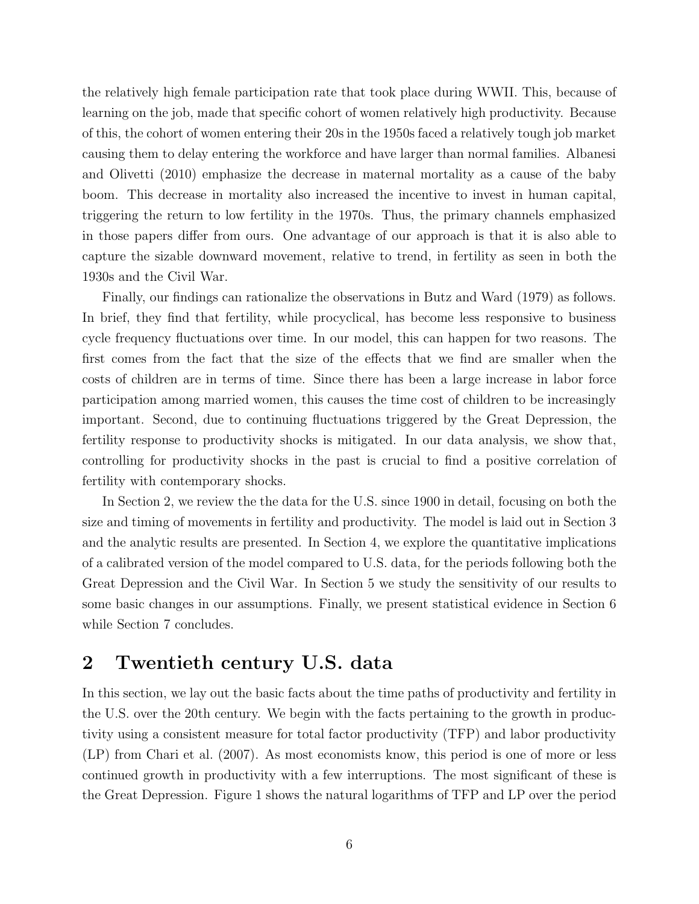the relatively high female participation rate that took place during WWII. This, because of learning on the job, made that specific cohort of women relatively high productivity. Because of this, the cohort of women entering their 20s in the 1950s faced a relatively tough job market causing them to delay entering the workforce and have larger than normal families. Albanesi and Olivetti (2010) emphasize the decrease in maternal mortality as a cause of the baby boom. This decrease in mortality also increased the incentive to invest in human capital, triggering the return to low fertility in the 1970s. Thus, the primary channels emphasized in those papers differ from ours. One advantage of our approach is that it is also able to capture the sizable downward movement, relative to trend, in fertility as seen in both the 1930s and the Civil War.

Finally, our findings can rationalize the observations in Butz and Ward (1979) as follows. In brief, they find that fertility, while procyclical, has become less responsive to business cycle frequency fluctuations over time. In our model, this can happen for two reasons. The first comes from the fact that the size of the effects that we find are smaller when the costs of children are in terms of time. Since there has been a large increase in labor force participation among married women, this causes the time cost of children to be increasingly important. Second, due to continuing fluctuations triggered by the Great Depression, the fertility response to productivity shocks is mitigated. In our data analysis, we show that, controlling for productivity shocks in the past is crucial to find a positive correlation of fertility with contemporary shocks.

In Section 2, we review the the data for the U.S. since 1900 in detail, focusing on both the size and timing of movements in fertility and productivity. The model is laid out in Section 3 and the analytic results are presented. In Section 4, we explore the quantitative implications of a calibrated version of the model compared to U.S. data, for the periods following both the Great Depression and the Civil War. In Section 5 we study the sensitivity of our results to some basic changes in our assumptions. Finally, we present statistical evidence in Section 6 while Section 7 concludes.

# 2 Twentieth century U.S. data

In this section, we lay out the basic facts about the time paths of productivity and fertility in the U.S. over the 20th century. We begin with the facts pertaining to the growth in productivity using a consistent measure for total factor productivity (TFP) and labor productivity (LP) from Chari et al. (2007). As most economists know, this period is one of more or less continued growth in productivity with a few interruptions. The most significant of these is the Great Depression. Figure 1 shows the natural logarithms of TFP and LP over the period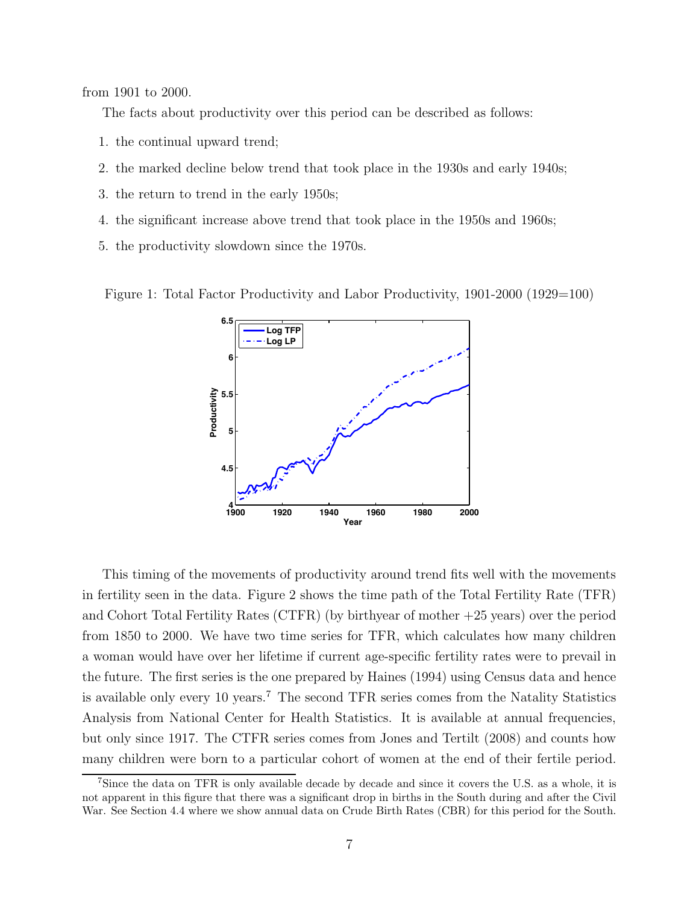from 1901 to 2000.

The facts about productivity over this period can be described as follows:

- 1. the continual upward trend;
- 2. the marked decline below trend that took place in the 1930s and early 1940s;
- 3. the return to trend in the early 1950s;
- 4. the significant increase above trend that took place in the 1950s and 1960s;
- 5. the productivity slowdown since the 1970s.

Figure 1: Total Factor Productivity and Labor Productivity, 1901-2000 (1929=100)



This timing of the movements of productivity around trend fits well with the movements in fertility seen in the data. Figure 2 shows the time path of the Total Fertility Rate (TFR) and Cohort Total Fertility Rates (CTFR) (by birthyear of mother +25 years) over the period from 1850 to 2000. We have two time series for TFR, which calculates how many children a woman would have over her lifetime if current age-specific fertility rates were to prevail in the future. The first series is the one prepared by Haines (1994) using Census data and hence is available only every 10 years.<sup>7</sup> The second TFR series comes from the Natality Statistics Analysis from National Center for Health Statistics. It is available at annual frequencies, but only since 1917. The CTFR series comes from Jones and Tertilt (2008) and counts how many children were born to a particular cohort of women at the end of their fertile period.

<sup>&</sup>lt;sup>7</sup>Since the data on TFR is only available decade by decade and since it covers the U.S. as a whole, it is not apparent in this figure that there was a significant drop in births in the South during and after the Civil War. See Section 4.4 where we show annual data on Crude Birth Rates (CBR) for this period for the South.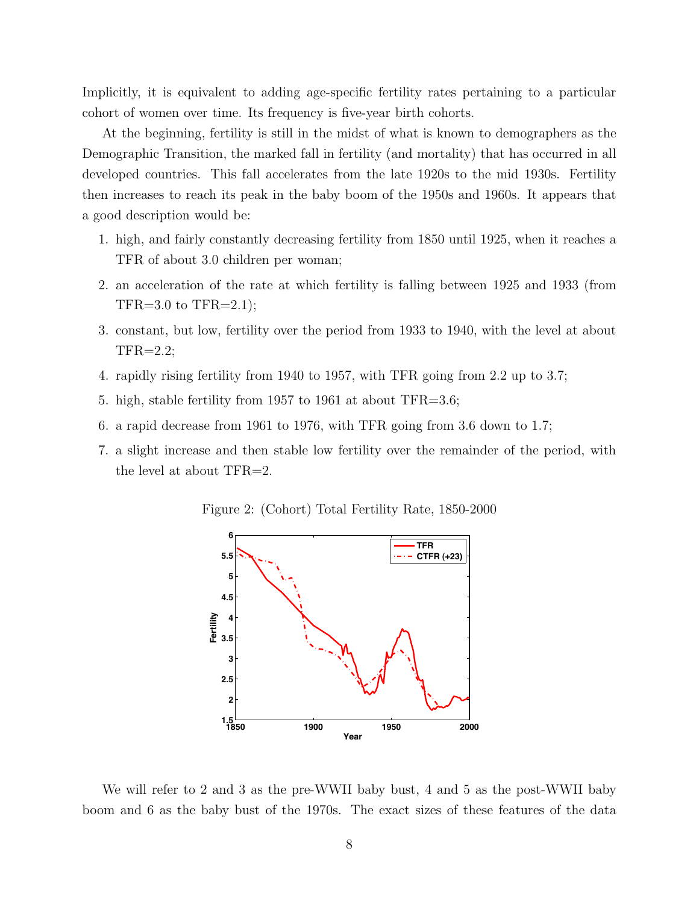Implicitly, it is equivalent to adding age-specific fertility rates pertaining to a particular cohort of women over time. Its frequency is five-year birth cohorts.

At the beginning, fertility is still in the midst of what is known to demographers as the Demographic Transition, the marked fall in fertility (and mortality) that has occurred in all developed countries. This fall accelerates from the late 1920s to the mid 1930s. Fertility then increases to reach its peak in the baby boom of the 1950s and 1960s. It appears that a good description would be:

- 1. high, and fairly constantly decreasing fertility from 1850 until 1925, when it reaches a TFR of about 3.0 children per woman;
- 2. an acceleration of the rate at which fertility is falling between 1925 and 1933 (from  $TFR=3.0$  to  $TFR=2.1$ ;
- 3. constant, but low, fertility over the period from 1933 to 1940, with the level at about TFR=2.2;
- 4. rapidly rising fertility from 1940 to 1957, with TFR going from 2.2 up to 3.7;
- 5. high, stable fertility from 1957 to 1961 at about TFR=3.6;
- 6. a rapid decrease from 1961 to 1976, with TFR going from 3.6 down to 1.7;
- 7. a slight increase and then stable low fertility over the remainder of the period, with the level at about TFR=2.

Figure 2: (Cohort) Total Fertility Rate, 1850-2000



We will refer to 2 and 3 as the pre-WWII baby bust, 4 and 5 as the post-WWII baby boom and 6 as the baby bust of the 1970s. The exact sizes of these features of the data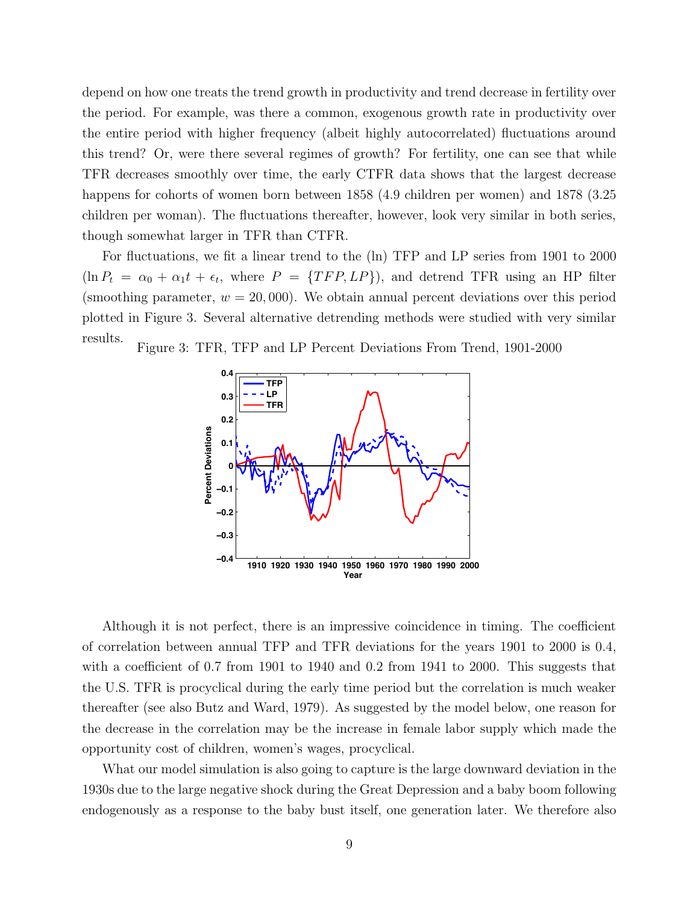depend on how one treats the trend growth in productivity and trend decrease in fertility over the period. For example, was there a common, exogenous growth rate in productivity over the entire period with higher frequency (albeit highly autocorrelated) fluctuations around this trend? Or, were there several regimes of growth? For fertility, one can see that while TFR decreases smoothly over time, the early CTFR data shows that the largest decrease happens for cohorts of women born between 1858 (4.9 children per women) and 1878 (3.25 children per woman). The fluctuations thereafter, however, look very similar in both series, though somewhat larger in TFR than CTFR.

For fluctuations, we fit a linear trend to the (ln) TFP and LP series from 1901 to 2000  $(\ln P_t = \alpha_0 + \alpha_1 t + \epsilon_t$ , where  $P = \{TFP, LP\}$ , and detrend TFR using an HP filter (smoothing parameter,  $w = 20,000$ ). We obtain annual percent deviations over this period plotted in Figure 3. Several alternative detrending methods were studied with very similar results.





Although it is not perfect, there is an impressive coincidence in timing. The coefficient of correlation between annual TFP and TFR deviations for the years 1901 to 2000 is 0.4, with a coefficient of 0.7 from 1901 to 1940 and 0.2 from 1941 to 2000. This suggests that the U.S. TFR is procyclical during the early time period but the correlation is much weaker thereafter (see also Butz and Ward, 1979). As suggested by the model below, one reason for the decrease in the correlation may be the increase in female labor supply which made the opportunity cost of children, women's wages, procyclical.

What our model simulation is also going to capture is the large downward deviation in the 1930s due to the large negative shock during the Great Depression and a baby boom following endogenously as a response to the baby bust itself, one generation later. We therefore also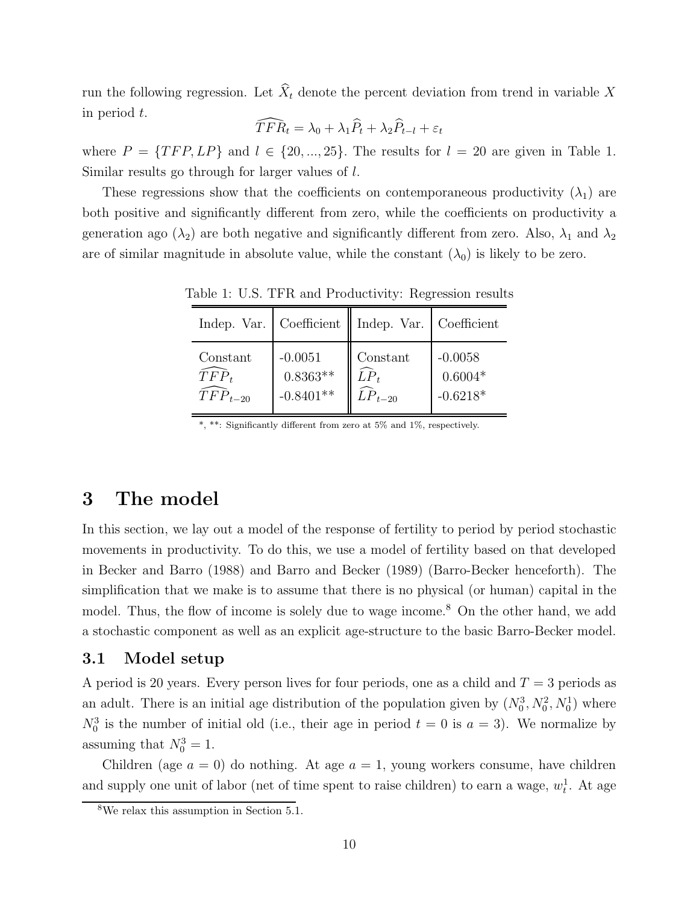run the following regression. Let  $\widehat{X}_t$  denote the percent deviation from trend in variable X in period t.

$$
\widehat{TFR}_t = \lambda_0 + \lambda_1 \widehat{P}_t + \lambda_2 \widehat{P}_{t-l} + \varepsilon_t
$$

where  $P = \{TFP, LP\}$  and  $l \in \{20, ..., 25\}$ . The results for  $l = 20$  are given in Table 1. Similar results go through for larger values of l.

These regressions show that the coefficients on contemporaneous productivity  $(\lambda_1)$  are both positive and significantly different from zero, while the coefficients on productivity a generation ago ( $\lambda_2$ ) are both negative and significantly different from zero. Also,  $\lambda_1$  and  $\lambda_2$ are of similar magnitude in absolute value, while the constant  $(\lambda_0)$  is likely to be zero.

|              |             | Indep. Var.   Coefficient    Indep. Var.   Coefficient |            |
|--------------|-------------|--------------------------------------------------------|------------|
| Constant     | $-0.0051$   | Constant                                               | $-0.0058$  |
| $TFP_t$      | $0.8363**$  | $LP_t$                                                 | $0.6004*$  |
| $TFP_{t-20}$ | $-0.8401**$ | $LP_{t-20}$                                            | $-0.6218*$ |

Table 1: U.S. TFR and Productivity: Regression results

\*, \*\*: Significantly different from zero at 5% and 1%, respectively.

# 3 The model

In this section, we lay out a model of the response of fertility to period by period stochastic movements in productivity. To do this, we use a model of fertility based on that developed in Becker and Barro (1988) and Barro and Becker (1989) (Barro-Becker henceforth). The simplification that we make is to assume that there is no physical (or human) capital in the model. Thus, the flow of income is solely due to wage income.<sup>8</sup> On the other hand, we add a stochastic component as well as an explicit age-structure to the basic Barro-Becker model.

### 3.1 Model setup

A period is 20 years. Every person lives for four periods, one as a child and  $T = 3$  periods as an adult. There is an initial age distribution of the population given by  $(N_0^3, N_0^2, N_0^1)$  where  $N_0^3$  is the number of initial old (i.e., their age in period  $t = 0$  is  $a = 3$ ). We normalize by assuming that  $N_0^3 = 1$ .

Children (age  $a = 0$ ) do nothing. At age  $a = 1$ , young workers consume, have children and supply one unit of labor (net of time spent to raise children) to earn a wage,  $w_t^1$ . At age

<sup>&</sup>lt;sup>8</sup>We relax this assumption in Section  $5.1$ .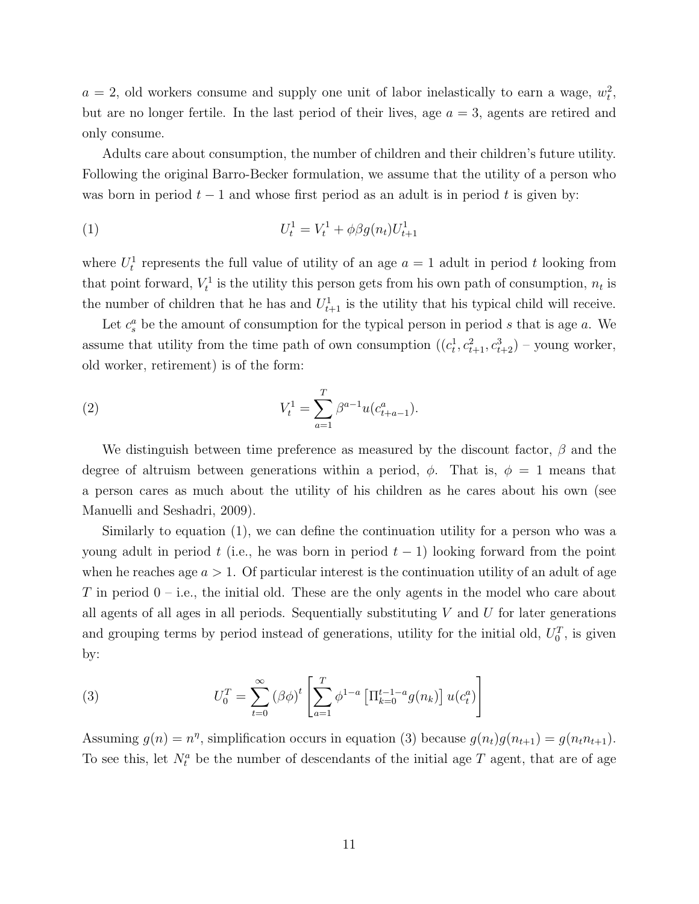$a = 2$ , old workers consume and supply one unit of labor inelastically to earn a wage,  $w_t^2$ , but are no longer fertile. In the last period of their lives, age  $a = 3$ , agents are retired and only consume.

Adults care about consumption, the number of children and their children's future utility. Following the original Barro-Becker formulation, we assume that the utility of a person who was born in period  $t-1$  and whose first period as an adult is in period t is given by:

(1) 
$$
U_t^1 = V_t^1 + \phi \beta g(n_t) U_{t+1}^1
$$

where  $U_t^1$  represents the full value of utility of an age  $a = 1$  adult in period t looking from that point forward,  $V_t^1$  is the utility this person gets from his own path of consumption,  $n_t$  is the number of children that he has and  $U_{t+1}^1$  is the utility that his typical child will receive.

Let  $c_s^a$  be the amount of consumption for the typical person in period s that is age a. We assume that utility from the time path of own consumption  $((c_t^1, c_{t+1}^2, c_{t+2}^3)$  – young worker, old worker, retirement) is of the form:

(2) 
$$
V_t^1 = \sum_{a=1}^T \beta^{a-1} u(c_{t+a-1}^a).
$$

We distinguish between time preference as measured by the discount factor,  $\beta$  and the degree of altruism between generations within a period,  $\phi$ . That is,  $\phi = 1$  means that a person cares as much about the utility of his children as he cares about his own (see Manuelli and Seshadri, 2009).

Similarly to equation (1), we can define the continuation utility for a person who was a young adult in period t (i.e., he was born in period  $t-1$ ) looking forward from the point when he reaches age  $a > 1$ . Of particular interest is the continuation utility of an adult of age T in period  $0 - i.e.,$  the initial old. These are the only agents in the model who care about all agents of all ages in all periods. Sequentially substituting  $V$  and  $U$  for later generations and grouping terms by period instead of generations, utility for the initial old,  $U_0^T$ , is given by:

(3) 
$$
U_0^T = \sum_{t=0}^{\infty} (\beta \phi)^t \left[ \sum_{a=1}^T \phi^{1-a} \left[ \prod_{k=0}^{t-1-a} g(n_k) \right] u(c_t^a) \right]
$$

Assuming  $g(n) = n^{\eta}$ , simplification occurs in equation (3) because  $g(n_t)g(n_{t+1}) = g(n_t n_{t+1})$ . To see this, let  $N_t^a$  be the number of descendants of the initial age T agent, that are of age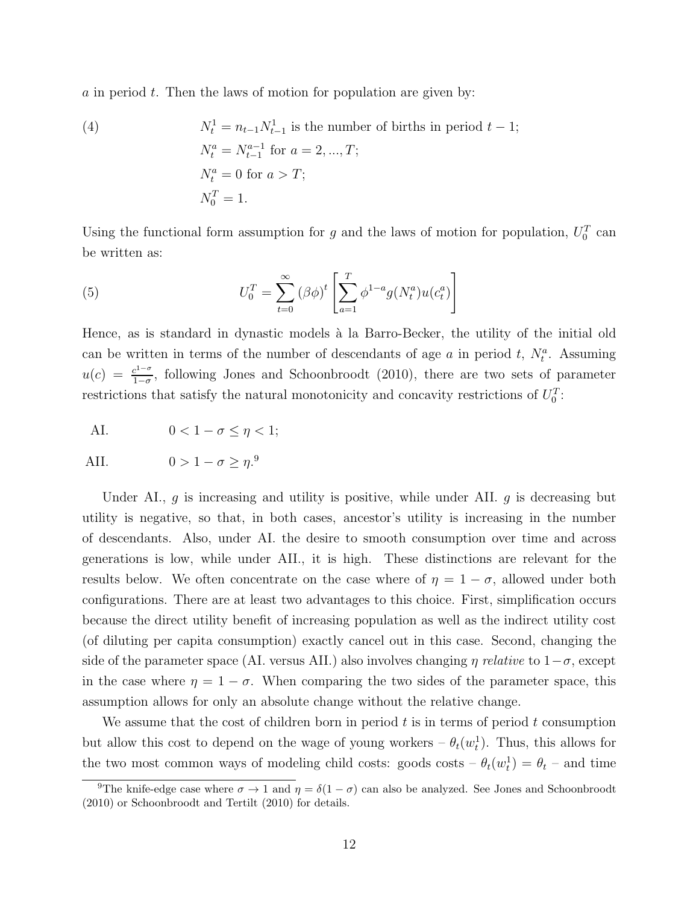$\alpha$  in period  $t$ . Then the laws of motion for population are given by:

(4) 
$$
N_t^1 = n_{t-1} N_{t-1}^1
$$
 is the number of births in period  $t - 1$ ;  
\n $N_t^a = N_{t-1}^{a-1}$  for  $a = 2, ..., T$ ;  
\n $N_t^a = 0$  for  $a > T$ ;  
\n $N_0^T = 1$ .

Using the functional form assumption for g and the laws of motion for population,  $U_0^T$  can be written as:

(5) 
$$
U_0^T = \sum_{t=0}^{\infty} (\beta \phi)^t \left[ \sum_{a=1}^T \phi^{1-a} g(N_t^a) u(c_t^a) \right]
$$

Hence, as is standard in dynastic models à la Barro-Becker, the utility of the initial old can be written in terms of the number of descendants of age a in period t,  $N_t^a$ . Assuming  $u(c) = \frac{c^{1-\sigma}}{1-\sigma}$ , following Jones and Schoonbroodt (2010), there are two sets of parameter restrictions that satisfy the natural monotonicity and concavity restrictions of  $U_0^T$ :

$$
\text{AI.} \qquad \qquad 0 < 1 - \sigma \le \eta < 1;
$$

$$
\text{AII.} \qquad \qquad 0 > 1 - \sigma \ge \eta^9
$$

Under AI.,  $g$  is increasing and utility is positive, while under AII.  $g$  is decreasing but utility is negative, so that, in both cases, ancestor's utility is increasing in the number of descendants. Also, under AI. the desire to smooth consumption over time and across generations is low, while under AII., it is high. These distinctions are relevant for the results below. We often concentrate on the case where of  $\eta = 1 - \sigma$ , allowed under both configurations. There are at least two advantages to this choice. First, simplification occurs because the direct utility benefit of increasing population as well as the indirect utility cost (of diluting per capita consumption) exactly cancel out in this case. Second, changing the side of the parameter space (AI. versus AII.) also involves changing  $\eta$  relative to  $1-\sigma$ , except in the case where  $\eta = 1 - \sigma$ . When comparing the two sides of the parameter space, this assumption allows for only an absolute change without the relative change.

We assume that the cost of children born in period t is in terms of period t consumption but allow this cost to depend on the wage of young workers  $-\theta_t(w_t^1)$ . Thus, this allows for the two most common ways of modeling child costs: goods costs  $-\theta_t(w_t^1) = \theta_t$  – and time

<sup>&</sup>lt;sup>9</sup>The knife-edge case where  $\sigma \to 1$  and  $\eta = \delta(1 - \sigma)$  can also be analyzed. See Jones and Schoonbroodt (2010) or Schoonbroodt and Tertilt (2010) for details.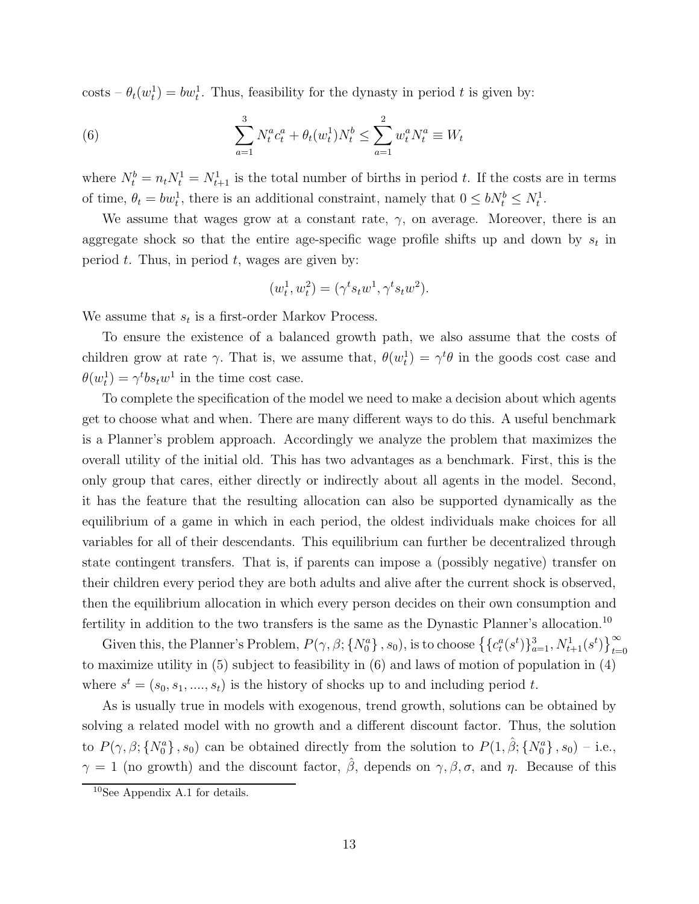$\text{costs} - \theta_t(w_t^1) = bw_t^1$ . Thus, feasibility for the dynasty in period t is given by:

(6) 
$$
\sum_{a=1}^{3} N_t^a c_t^a + \theta_t(w_t^1) N_t^b \le \sum_{a=1}^{2} w_t^a N_t^a \equiv W_t
$$

where  $N_t^b = n_t N_t^1 = N_{t+1}^1$  is the total number of births in period t. If the costs are in terms of time,  $\theta_t = bw_t^1$ , there is an additional constraint, namely that  $0 \leq bN_t^b \leq N_t^1$ .

We assume that wages grow at a constant rate,  $\gamma$ , on average. Moreover, there is an aggregate shock so that the entire age-specific wage profile shifts up and down by  $s_t$  in period  $t$ . Thus, in period  $t$ , wages are given by:

$$
(w_t^1, w_t^2) = (\gamma^t s_t w^1, \gamma^t s_t w^2).
$$

We assume that  $s_t$  is a first-order Markov Process.

To ensure the existence of a balanced growth path, we also assume that the costs of children grow at rate  $\gamma$ . That is, we assume that,  $\theta(w_t^1) = \gamma^t \theta$  in the goods cost case and  $\theta(w_t^1) = \gamma^t b s_t w^1$  in the time cost case.

To complete the specification of the model we need to make a decision about which agents get to choose what and when. There are many different ways to do this. A useful benchmark is a Planner's problem approach. Accordingly we analyze the problem that maximizes the overall utility of the initial old. This has two advantages as a benchmark. First, this is the only group that cares, either directly or indirectly about all agents in the model. Second, it has the feature that the resulting allocation can also be supported dynamically as the equilibrium of a game in which in each period, the oldest individuals make choices for all variables for all of their descendants. This equilibrium can further be decentralized through state contingent transfers. That is, if parents can impose a (possibly negative) transfer on their children every period they are both adults and alive after the current shock is observed, then the equilibrium allocation in which every person decides on their own consumption and fertility in addition to the two transfers is the same as the Dynastic Planner's allocation.<sup>10</sup>

Given this, the Planner's Problem,  $P(\gamma, \beta; \{N_0^a\}, s_0)$ , is to choose  $\{\{c_t^a(s^t)\}_{a=1}^3, N_{t+1}^1(s^t)\}_{t=0}^{\infty}$ to maximize utility in (5) subject to feasibility in (6) and laws of motion of population in (4) where  $s^t = (s_0, s_1, ..., s_t)$  is the history of shocks up to and including period t.

As is usually true in models with exogenous, trend growth, solutions can be obtained by solving a related model with no growth and a different discount factor. Thus, the solution to  $P(\gamma, \beta; \{N_0^a\}, s_0)$  can be obtained directly from the solution to  $P(1, \hat{\beta}; \{N_0^a\}, s_0)$  - i.e.,  $\gamma = 1$  (no growth) and the discount factor,  $\hat{\beta}$ , depends on  $\gamma$ ,  $\beta$ ,  $\sigma$ , and  $\eta$ . Because of this

 $10$ See Appendix A.1 for details.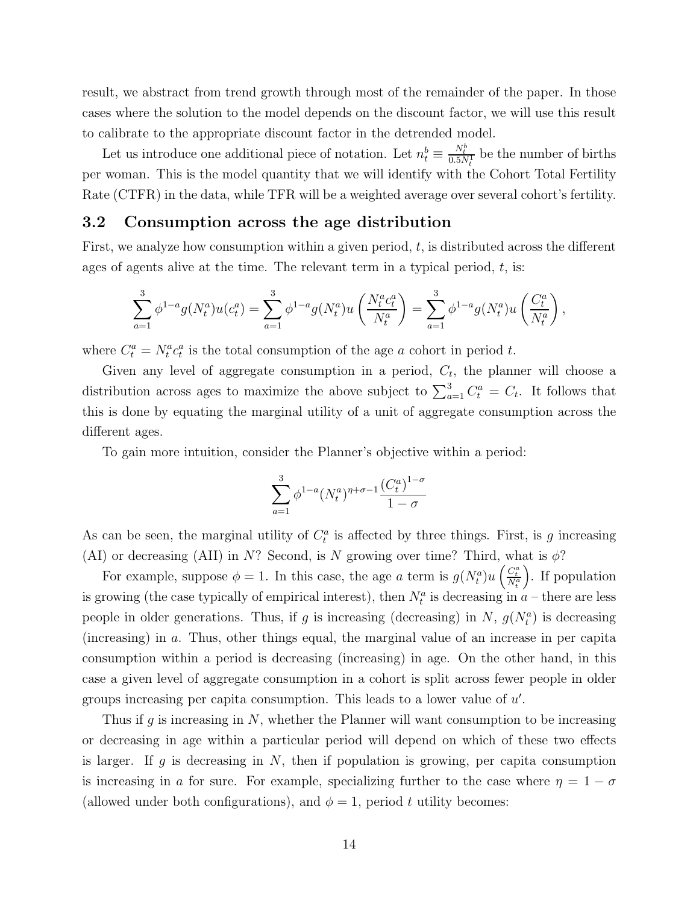result, we abstract from trend growth through most of the remainder of the paper. In those cases where the solution to the model depends on the discount factor, we will use this result to calibrate to the appropriate discount factor in the detrended model.

Let us introduce one additional piece of notation. Let  $n_t^b \equiv \frac{N_t^b}{0.5N_t^b}$  be the number of births per woman. This is the model quantity that we will identify with the Cohort Total Fertility Rate (CTFR) in the data, while TFR will be a weighted average over several cohort's fertility.

### 3.2 Consumption across the age distribution

First, we analyze how consumption within a given period,  $t$ , is distributed across the different ages of agents alive at the time. The relevant term in a typical period,  $t$ , is:

$$
\sum_{a=1}^3 \phi^{1-a} g(N_t^a) u(c_t^a) = \sum_{a=1}^3 \phi^{1-a} g(N_t^a) u\left(\frac{N_t^a c_t^a}{N_t^a}\right) = \sum_{a=1}^3 \phi^{1-a} g(N_t^a) u\left(\frac{C_t^a}{N_t^a}\right),
$$

where  $C_t^a = N_t^a c_t^a$  is the total consumption of the age a cohort in period t.

Given any level of aggregate consumption in a period,  $C_t$ , the planner will choose a distribution across ages to maximize the above subject to  $\sum_{a=1}^{3} C_t^a = C_t$ . It follows that this is done by equating the marginal utility of a unit of aggregate consumption across the different ages.

To gain more intuition, consider the Planner's objective within a period:

$$
\sum_{a=1}^{3} \phi^{1-a}(N_t^a)^{\eta+\sigma-1} \frac{(C_t^a)^{1-\sigma}}{1-\sigma}
$$

As can be seen, the marginal utility of  $C_t^a$  is affected by three things. First, is g increasing (AI) or decreasing (AII) in N? Second, is N growing over time? Third, what is  $\phi$ ?

For example, suppose  $\phi = 1$ . In this case, the age a term is  $g(N_t^a)u\left(\frac{C_t^a}{N_t^a}\right)$ . . If population is growing (the case typically of empirical interest), then  $N_t^a$  is decreasing in  $a$  – there are less people in older generations. Thus, if g is increasing (decreasing) in N,  $g(N_t^a)$  is decreasing (increasing) in a. Thus, other things equal, the marginal value of an increase in per capita consumption within a period is decreasing (increasing) in age. On the other hand, in this case a given level of aggregate consumption in a cohort is split across fewer people in older groups increasing per capita consumption. This leads to a lower value of  $u'$ .

Thus if g is increasing in N, whether the Planner will want consumption to be increasing or decreasing in age within a particular period will depend on which of these two effects is larger. If g is decreasing in  $N$ , then if population is growing, per capita consumption is increasing in a for sure. For example, specializing further to the case where  $\eta = 1 - \sigma$ (allowed under both configurations), and  $\phi = 1$ , period t utility becomes: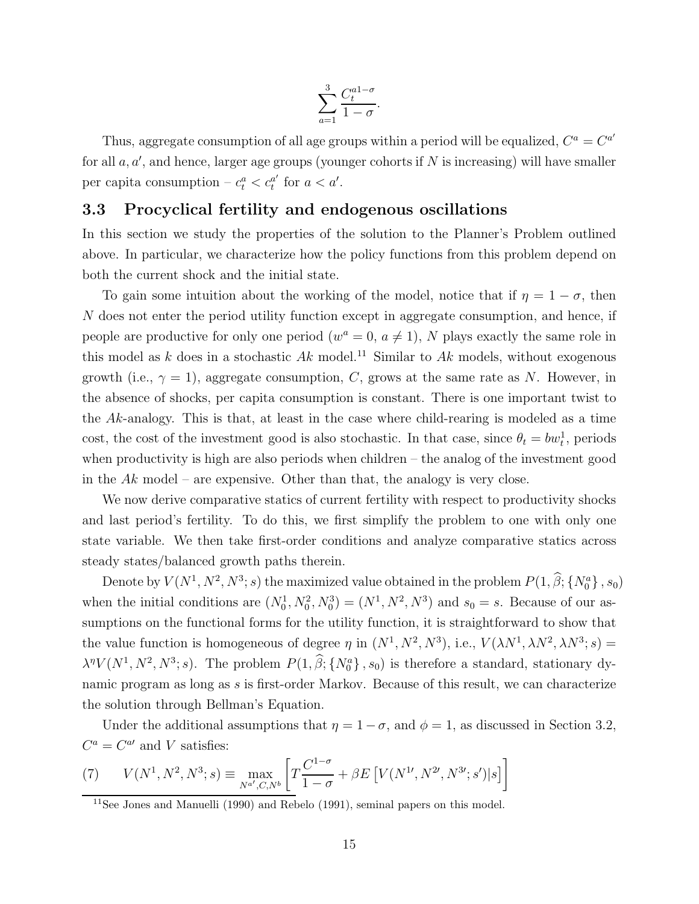$$
\sum_{a=1}^{3} \frac{C_t^{a1-\sigma}}{1-\sigma}.
$$

Thus, aggregate consumption of all age groups within a period will be equalized,  $C^a = C^{a'}$ for all  $a, a'$ , and hence, larger age groups (younger cohorts if N is increasing) will have smaller per capita consumption  $-c_t^a < c_t^{a'}$  for  $a < a'$ .

### 3.3 Procyclical fertility and endogenous oscillations

In this section we study the properties of the solution to the Planner's Problem outlined above. In particular, we characterize how the policy functions from this problem depend on both the current shock and the initial state.

To gain some intuition about the working of the model, notice that if  $\eta = 1 - \sigma$ , then N does not enter the period utility function except in aggregate consumption, and hence, if people are productive for only one period  $(w^a = 0, a \neq 1)$ , N plays exactly the same role in this model as k does in a stochastic  $Ak$  model.<sup>11</sup> Similar to  $Ak$  models, without exogenous growth (i.e.,  $\gamma = 1$ ), aggregate consumption, C, grows at the same rate as N. However, in the absence of shocks, per capita consumption is constant. There is one important twist to the Ak-analogy. This is that, at least in the case where child-rearing is modeled as a time cost, the cost of the investment good is also stochastic. In that case, since  $\theta_t = bw_t^1$ , periods when productivity is high are also periods when children – the analog of the investment good in the  $Ak$  model – are expensive. Other than that, the analogy is very close.

We now derive comparative statics of current fertility with respect to productivity shocks and last period's fertility. To do this, we first simplify the problem to one with only one state variable. We then take first-order conditions and analyze comparative statics across steady states/balanced growth paths therein.

Denote by  $V(N^1, N^2, N^3; s)$  the maximized value obtained in the problem  $P(1, \hat{\beta}; \{N_0^a\}, s_0)$ when the initial conditions are  $(N_0^1, N_0^2, N_0^3) = (N^1, N^2, N^3)$  and  $s_0 = s$ . Because of our assumptions on the functional forms for the utility function, it is straightforward to show that the value function is homogeneous of degree  $\eta$  in  $(N^1, N^2, N^3)$ , i.e.,  $V(\lambda N^1, \lambda N^2, \lambda N^3; s)$  =  $\lambda^{n}V(N^{1}, N^{2}, N^{3}; s)$ . The problem  $P(1, \beta; \{N_{0}^{a}\}, s_{0})$  is therefore a standard, stationary dynamic program as long as s is first-order Markov. Because of this result, we can characterize the solution through Bellman's Equation.

Under the additional assumptions that  $\eta = 1 - \sigma$ , and  $\phi = 1$ , as discussed in Section 3.2,  $C^a = C^{a}$  and V satisfies:

(7) 
$$
V(N^1, N^2, N^3; s) \equiv \max_{N^{a'}, C, N^b} \left[ T \frac{C^{1-\sigma}}{1-\sigma} + \beta E \left[ V(N^1, N^{2\prime}, N^{3\prime}; s') | s \right] \right]
$$

<sup>&</sup>lt;sup>11</sup>See Jones and Manuelli (1990) and Rebelo (1991), seminal papers on this model.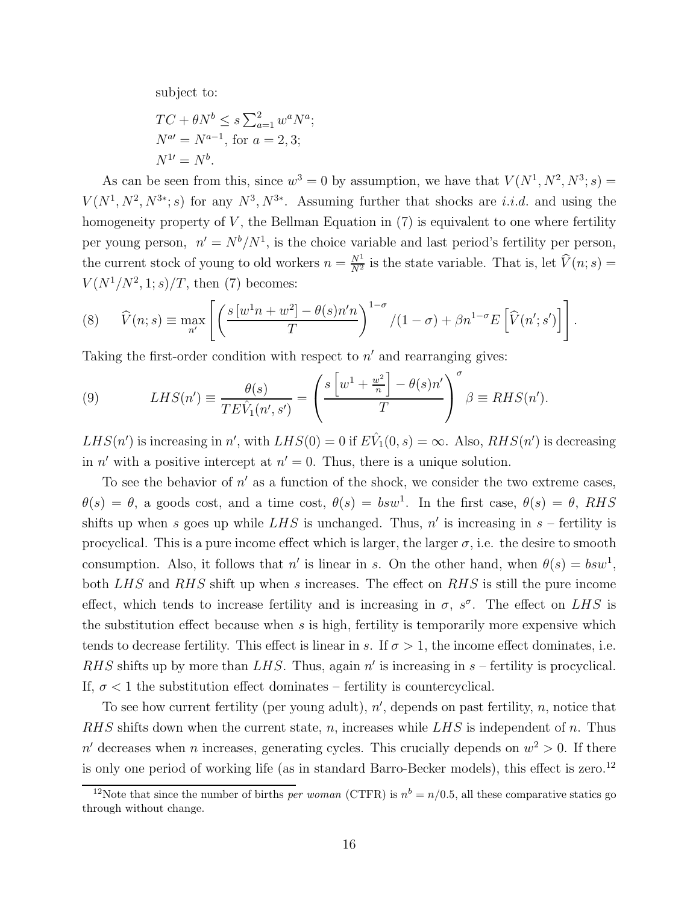subject to:

$$
TC + \theta N^b \le s \sum_{a=1}^2 w^a N^a;
$$
  

$$
N^{a'} = N^{a-1}, \text{ for } a = 2, 3;
$$
  

$$
N^{1'} = N^b.
$$

As can be seen from this, since  $w^3 = 0$  by assumption, we have that  $V(N^1, N^2, N^3; s) =$  $V(N^1, N^2, N^{3*}; s)$  for any  $N^3, N^{3*}$ . Assuming further that shocks are *i.i.d.* and using the homogeneity property of  $V$ , the Bellman Equation in  $(7)$  is equivalent to one where fertility per young person,  $n' = N^b/N^1$ , is the choice variable and last period's fertility per person, the current stock of young to old workers  $n = \frac{N^1}{N^2}$  is the state variable. That is, let  $\widehat{V}(n; s) =$  $V(N^1/N^2, 1; s)/T$ , then (7) becomes:

(8) 
$$
\widehat{V}(n;s) \equiv \max_{n'} \left[ \left( \frac{s \left[ w^1 n + w^2 \right] - \theta(s) n' n}{T} \right)^{1-\sigma} / (1-\sigma) + \beta n^{1-\sigma} E \left[ \widehat{V}(n';s') \right] \right].
$$

Taking the first-order condition with respect to  $n'$  and rearranging gives:

(9) 
$$
LHS(n') \equiv \frac{\theta(s)}{TE\hat{V}_1(n',s')} = \left(\frac{s\left[w^1 + \frac{w^2}{n}\right] - \theta(s)n'}{T}\right)^{\sigma} \beta \equiv RHS(n').
$$

 $LHS(n')$  is increasing in n', with  $LHS(0) = 0$  if  $E\hat{V}_1(0, s) = \infty$ . Also,  $RHS(n')$  is decreasing in n' with a positive intercept at  $n' = 0$ . Thus, there is a unique solution.

To see the behavior of  $n'$  as a function of the shock, we consider the two extreme cases,  $\theta(s) = \theta$ , a goods cost, and a time cost,  $\theta(s) = bsw^1$ . In the first case,  $\theta(s) = \theta$ , RHS shifts up when s goes up while LHS is unchanged. Thus,  $n'$  is increasing in  $s$  – fertility is procyclical. This is a pure income effect which is larger, the larger  $\sigma$ , i.e. the desire to smooth consumption. Also, it follows that n' is linear in s. On the other hand, when  $\theta(s) = bsw^1$ , both LHS and RHS shift up when s increases. The effect on RHS is still the pure income effect, which tends to increase fertility and is increasing in  $\sigma$ ,  $s^{\sigma}$ . The effect on LHS is the substitution effect because when  $s$  is high, fertility is temporarily more expensive which tends to decrease fertility. This effect is linear in s. If  $\sigma > 1$ , the income effect dominates, i.e. RHS shifts up by more than LHS. Thus, again  $n'$  is increasing in  $s$  – fertility is procyclical. If,  $\sigma$  < 1 the substitution effect dominates – fertility is countercyclical.

To see how current fertility (per young adult),  $n'$ , depends on past fertility,  $n$ , notice that RHS shifts down when the current state, n, increases while  $LHS$  is independent of n. Thus n' decreases when n increases, generating cycles. This crucially depends on  $w^2 > 0$ . If there is only one period of working life (as in standard Barro-Becker models), this effect is zero.<sup>12</sup>

<sup>&</sup>lt;sup>12</sup>Note that since the number of births *per woman* (CTFR) is  $n^b = n/0.5$ , all these comparative statics go through without change.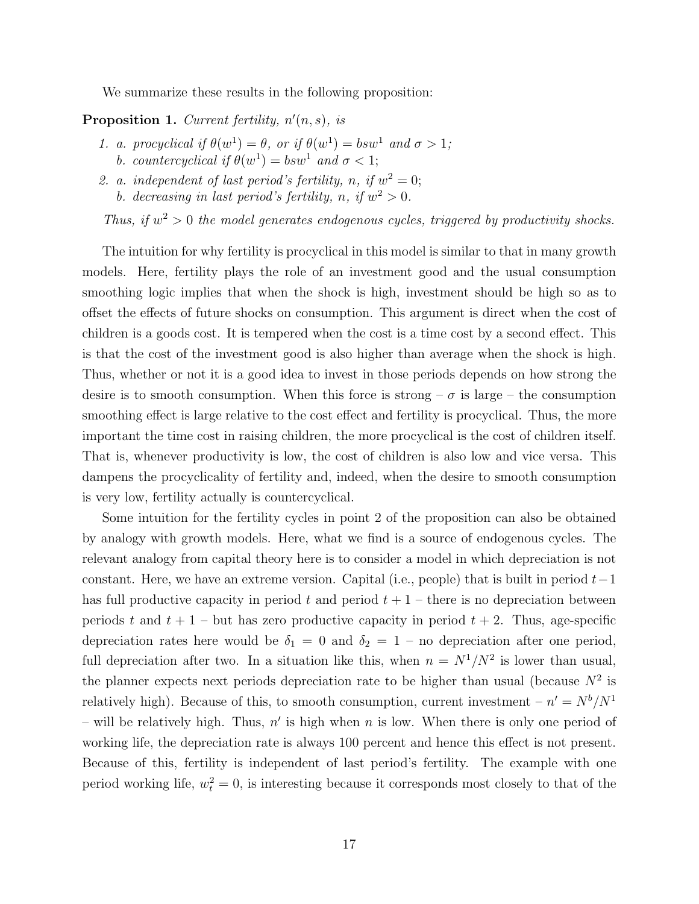We summarize these results in the following proposition:

#### **Proposition 1.** Current fertility,  $n'(n, s)$ , is

- 1. a. procyclical if  $\theta(w^1) = \theta$ , or if  $\theta(w^1) = bsw^1$  and  $\sigma > 1$ ; b. countercyclical if  $\theta(w^1) = bsw^1$  and  $\sigma < 1$ ;
- 2. a. independent of last period's fertility, n, if  $w^2 = 0$ ; b. decreasing in last period's fertility, n, if  $w^2 > 0$ .

Thus, if  $w^2 > 0$  the model generates endogenous cycles, triggered by productivity shocks.

The intuition for why fertility is procyclical in this model is similar to that in many growth models. Here, fertility plays the role of an investment good and the usual consumption smoothing logic implies that when the shock is high, investment should be high so as to offset the effects of future shocks on consumption. This argument is direct when the cost of children is a goods cost. It is tempered when the cost is a time cost by a second effect. This is that the cost of the investment good is also higher than average when the shock is high. Thus, whether or not it is a good idea to invest in those periods depends on how strong the desire is to smooth consumption. When this force is strong –  $\sigma$  is large – the consumption smoothing effect is large relative to the cost effect and fertility is procyclical. Thus, the more important the time cost in raising children, the more procyclical is the cost of children itself. That is, whenever productivity is low, the cost of children is also low and vice versa. This dampens the procyclicality of fertility and, indeed, when the desire to smooth consumption is very low, fertility actually is countercyclical.

Some intuition for the fertility cycles in point 2 of the proposition can also be obtained by analogy with growth models. Here, what we find is a source of endogenous cycles. The relevant analogy from capital theory here is to consider a model in which depreciation is not constant. Here, we have an extreme version. Capital (i.e., people) that is built in period  $t-1$ has full productive capacity in period t and period  $t + 1$  – there is no depreciation between periods t and  $t + 1$  – but has zero productive capacity in period  $t + 2$ . Thus, age-specific depreciation rates here would be  $\delta_1 = 0$  and  $\delta_2 = 1$  – no depreciation after one period, full depreciation after two. In a situation like this, when  $n = N^1/N^2$  is lower than usual, the planner expects next periods depreciation rate to be higher than usual (because  $N^2$  is relatively high). Because of this, to smooth consumption, current investment  $- n' = N<sup>b</sup>/N<sup>1</sup>$ – will be relatively high. Thus,  $n'$  is high when n is low. When there is only one period of working life, the depreciation rate is always 100 percent and hence this effect is not present. Because of this, fertility is independent of last period's fertility. The example with one period working life,  $w_t^2 = 0$ , is interesting because it corresponds most closely to that of the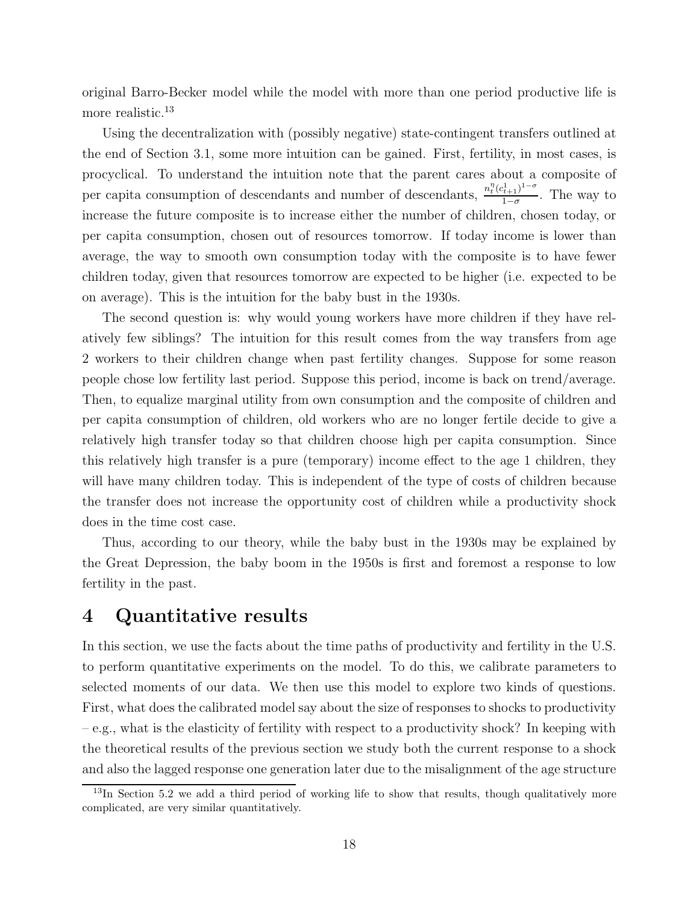original Barro-Becker model while the model with more than one period productive life is more realistic.<sup>13</sup>

Using the decentralization with (possibly negative) state-contingent transfers outlined at the end of Section 3.1, some more intuition can be gained. First, fertility, in most cases, is procyclical. To understand the intuition note that the parent cares about a composite of per capita consumption of descendants and number of descendants,  $\frac{n_l^n (c_{t+1}^1)^{1-\sigma}}{1-\sigma}$ . The way to increase the future composite is to increase either the number of children, chosen today, or per capita consumption, chosen out of resources tomorrow. If today income is lower than average, the way to smooth own consumption today with the composite is to have fewer children today, given that resources tomorrow are expected to be higher (i.e. expected to be on average). This is the intuition for the baby bust in the 1930s.

The second question is: why would young workers have more children if they have relatively few siblings? The intuition for this result comes from the way transfers from age 2 workers to their children change when past fertility changes. Suppose for some reason people chose low fertility last period. Suppose this period, income is back on trend/average. Then, to equalize marginal utility from own consumption and the composite of children and per capita consumption of children, old workers who are no longer fertile decide to give a relatively high transfer today so that children choose high per capita consumption. Since this relatively high transfer is a pure (temporary) income effect to the age 1 children, they will have many children today. This is independent of the type of costs of children because the transfer does not increase the opportunity cost of children while a productivity shock does in the time cost case.

Thus, according to our theory, while the baby bust in the 1930s may be explained by the Great Depression, the baby boom in the 1950s is first and foremost a response to low fertility in the past.

# 4 Quantitative results

In this section, we use the facts about the time paths of productivity and fertility in the U.S. to perform quantitative experiments on the model. To do this, we calibrate parameters to selected moments of our data. We then use this model to explore two kinds of questions. First, what does the calibrated model say about the size of responses to shocks to productivity – e.g., what is the elasticity of fertility with respect to a productivity shock? In keeping with the theoretical results of the previous section we study both the current response to a shock and also the lagged response one generation later due to the misalignment of the age structure

<sup>&</sup>lt;sup>13</sup>In Section 5.2 we add a third period of working life to show that results, though qualitatively more complicated, are very similar quantitatively.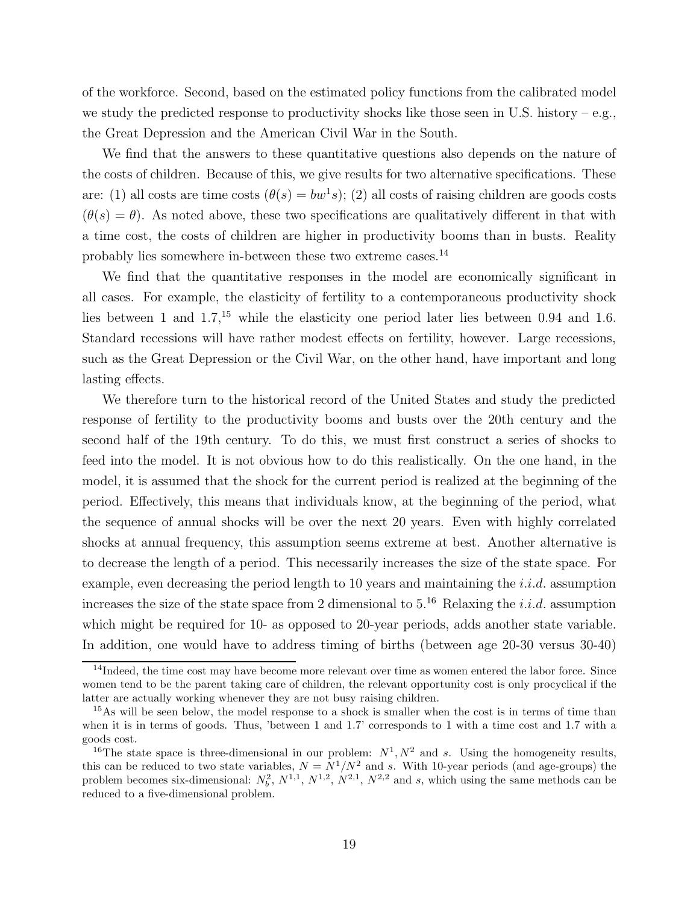of the workforce. Second, based on the estimated policy functions from the calibrated model we study the predicted response to productivity shocks like those seen in U.S. history – e.g., the Great Depression and the American Civil War in the South.

We find that the answers to these quantitative questions also depends on the nature of the costs of children. Because of this, we give results for two alternative specifications. These are: (1) all costs are time costs  $(\theta(s) = bw^1 s)$ ; (2) all costs of raising children are goods costs  $(\theta(s) = \theta)$ . As noted above, these two specifications are qualitatively different in that with a time cost, the costs of children are higher in productivity booms than in busts. Reality probably lies somewhere in-between these two extreme cases.<sup>14</sup>

We find that the quantitative responses in the model are economically significant in all cases. For example, the elasticity of fertility to a contemporaneous productivity shock lies between 1 and  $1.7<sup>15</sup>$  while the elasticity one period later lies between 0.94 and 1.6. Standard recessions will have rather modest effects on fertility, however. Large recessions, such as the Great Depression or the Civil War, on the other hand, have important and long lasting effects.

We therefore turn to the historical record of the United States and study the predicted response of fertility to the productivity booms and busts over the 20th century and the second half of the 19th century. To do this, we must first construct a series of shocks to feed into the model. It is not obvious how to do this realistically. On the one hand, in the model, it is assumed that the shock for the current period is realized at the beginning of the period. Effectively, this means that individuals know, at the beginning of the period, what the sequence of annual shocks will be over the next 20 years. Even with highly correlated shocks at annual frequency, this assumption seems extreme at best. Another alternative is to decrease the length of a period. This necessarily increases the size of the state space. For example, even decreasing the period length to 10 years and maintaining the  $i.i.d.$  assumption increases the size of the state space from 2 dimensional to  $5^{16}$ . Relaxing the *i.i.d.* assumption which might be required for 10- as opposed to 20-year periods, adds another state variable. In addition, one would have to address timing of births (between age 20-30 versus 30-40)

<sup>&</sup>lt;sup>14</sup>Indeed, the time cost may have become more relevant over time as women entered the labor force. Since women tend to be the parent taking care of children, the relevant opportunity cost is only procyclical if the latter are actually working whenever they are not busy raising children.

<sup>&</sup>lt;sup>15</sup>As will be seen below, the model response to a shock is smaller when the cost is in terms of time than when it is in terms of goods. Thus, 'between 1 and 1.7' corresponds to 1 with a time cost and 1.7 with a goods cost.

<sup>&</sup>lt;sup>16</sup>The state space is three-dimensional in our problem:  $N^1, N^2$  and s. Using the homogeneity results, this can be reduced to two state variables,  $N = N^1/N^2$  and s. With 10-year periods (and age-groups) the problem becomes six-dimensional:  $N_b^2$ ,  $N^{1,1}$ ,  $N^{1,2}$ ,  $N^{2,1}$ ,  $N^{2,2}$  and s, which using the same methods can be reduced to a five-dimensional problem.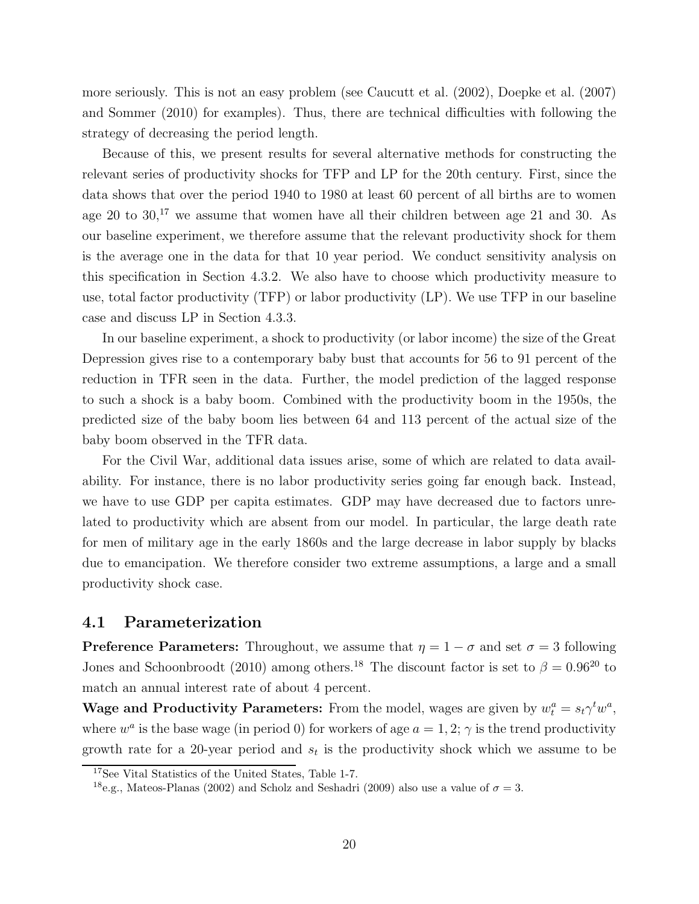more seriously. This is not an easy problem (see Caucutt et al. (2002), Doepke et al. (2007) and Sommer (2010) for examples). Thus, there are technical difficulties with following the strategy of decreasing the period length.

Because of this, we present results for several alternative methods for constructing the relevant series of productivity shocks for TFP and LP for the 20th century. First, since the data shows that over the period 1940 to 1980 at least 60 percent of all births are to women age 20 to  $30<sup>17</sup>$  we assume that women have all their children between age 21 and 30. As our baseline experiment, we therefore assume that the relevant productivity shock for them is the average one in the data for that 10 year period. We conduct sensitivity analysis on this specification in Section 4.3.2. We also have to choose which productivity measure to use, total factor productivity (TFP) or labor productivity (LP). We use TFP in our baseline case and discuss LP in Section 4.3.3.

In our baseline experiment, a shock to productivity (or labor income) the size of the Great Depression gives rise to a contemporary baby bust that accounts for 56 to 91 percent of the reduction in TFR seen in the data. Further, the model prediction of the lagged response to such a shock is a baby boom. Combined with the productivity boom in the 1950s, the predicted size of the baby boom lies between 64 and 113 percent of the actual size of the baby boom observed in the TFR data.

For the Civil War, additional data issues arise, some of which are related to data availability. For instance, there is no labor productivity series going far enough back. Instead, we have to use GDP per capita estimates. GDP may have decreased due to factors unrelated to productivity which are absent from our model. In particular, the large death rate for men of military age in the early 1860s and the large decrease in labor supply by blacks due to emancipation. We therefore consider two extreme assumptions, a large and a small productivity shock case.

### 4.1 Parameterization

**Preference Parameters:** Throughout, we assume that  $\eta = 1 - \sigma$  and set  $\sigma = 3$  following Jones and Schoonbroodt (2010) among others.<sup>18</sup> The discount factor is set to  $\beta = 0.96^{20}$  to match an annual interest rate of about 4 percent.

**Wage and Productivity Parameters:** From the model, wages are given by  $w_t^a = s_t \gamma^t w^a$ , where  $w^a$  is the base wage (in period 0) for workers of age  $a = 1, 2; \gamma$  is the trend productivity growth rate for a 20-year period and  $s_t$  is the productivity shock which we assume to be

<sup>17</sup>See Vital Statistics of the United States, Table 1-7.

<sup>&</sup>lt;sup>18</sup>e.g., Mateos-Planas (2002) and Scholz and Seshadri (2009) also use a value of  $\sigma = 3$ .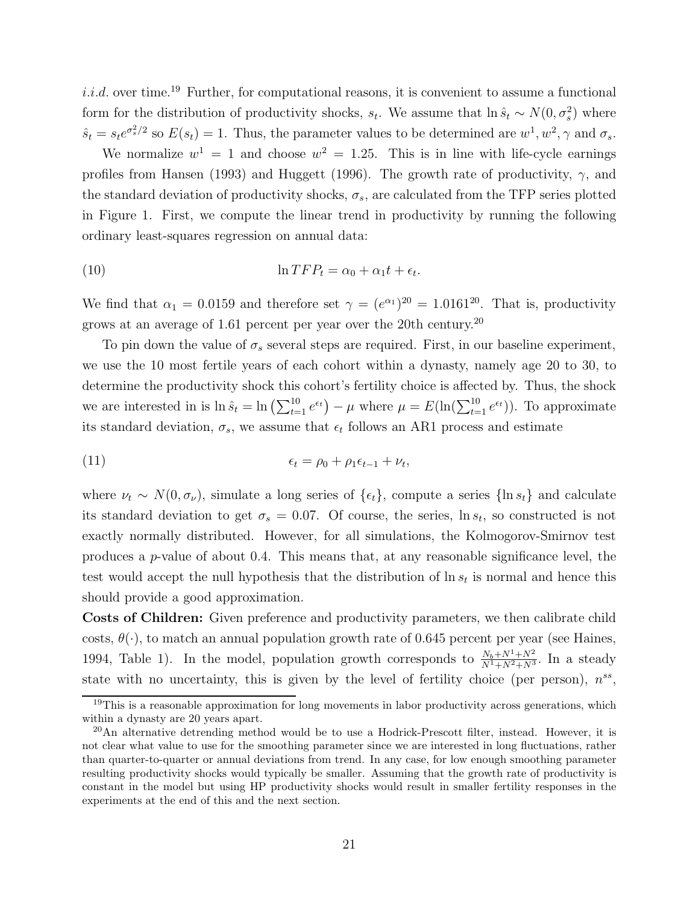*i.i.d.* over time.<sup>19</sup> Further, for computational reasons, it is convenient to assume a functional form for the distribution of productivity shocks,  $s_t$ . We assume that  $\ln \hat{s}_t \sim N(0, \sigma_s^2)$  where  $\hat{s}_t = s_t e^{\sigma_s^2/2}$  so  $E(s_t) = 1$ . Thus, the parameter values to be determined are  $w^1, w^2, \gamma$  and  $\sigma_s$ .

We normalize  $w^1 = 1$  and choose  $w^2 = 1.25$ . This is in line with life-cycle earnings profiles from Hansen (1993) and Huggett (1996). The growth rate of productivity,  $\gamma$ , and the standard deviation of productivity shocks,  $\sigma_s$ , are calculated from the TFP series plotted in Figure 1. First, we compute the linear trend in productivity by running the following ordinary least-squares regression on annual data:

(10) 
$$
\ln TFP_t = \alpha_0 + \alpha_1 t + \epsilon_t.
$$

We find that  $\alpha_1 = 0.0159$  and therefore set  $\gamma = (e^{\alpha_1})^{20} = 1.0161^{20}$ . That is, productivity grows at an average of 1.61 percent per year over the 20th century.<sup>20</sup>

To pin down the value of  $\sigma_s$  several steps are required. First, in our baseline experiment, we use the 10 most fertile years of each cohort within a dynasty, namely age 20 to 30, to determine the productivity shock this cohort's fertility choice is affected by. Thus, the shock we are interested in is  $\ln \hat{s}_t = \ln \left( \sum_{t=1}^{10} e^{\epsilon_t} \right) - \mu$  where  $\mu = E(\ln(\sum_{t=1}^{10} e^{\epsilon_t}))$ . To approximate its standard deviation,  $\sigma_s$ , we assume that  $\epsilon_t$  follows an AR1 process and estimate

(11) 
$$
\epsilon_t = \rho_0 + \rho_1 \epsilon_{t-1} + \nu_t,
$$

where  $\nu_t \sim N(0, \sigma_\nu)$ , simulate a long series of  $\{\epsilon_t\}$ , compute a series  $\{\ln s_t\}$  and calculate its standard deviation to get  $\sigma_s = 0.07$ . Of course, the series,  $\ln s_t$ , so constructed is not exactly normally distributed. However, for all simulations, the Kolmogorov-Smirnov test produces a *p*-value of about 0.4. This means that, at any reasonable significance level, the test would accept the null hypothesis that the distribution of  $\ln s_t$  is normal and hence this should provide a good approximation.

Costs of Children: Given preference and productivity parameters, we then calibrate child costs,  $\theta(\cdot)$ , to match an annual population growth rate of 0.645 percent per year (see Haines, 1994, Table 1). In the model, population growth corresponds to  $\frac{N_b+N^1+N^2}{N^1+N^2+N^3}$ . In a steady state with no uncertainty, this is given by the level of fertility choice (per person),  $n^{ss}$ ,

 $19$ This is a reasonable approximation for long movements in labor productivity across generations, which within a dynasty are 20 years apart.

 $^{20}$ An alternative detrending method would be to use a Hodrick-Prescott filter, instead. However, it is not clear what value to use for the smoothing parameter since we are interested in long fluctuations, rather than quarter-to-quarter or annual deviations from trend. In any case, for low enough smoothing parameter resulting productivity shocks would typically be smaller. Assuming that the growth rate of productivity is constant in the model but using HP productivity shocks would result in smaller fertility responses in the experiments at the end of this and the next section.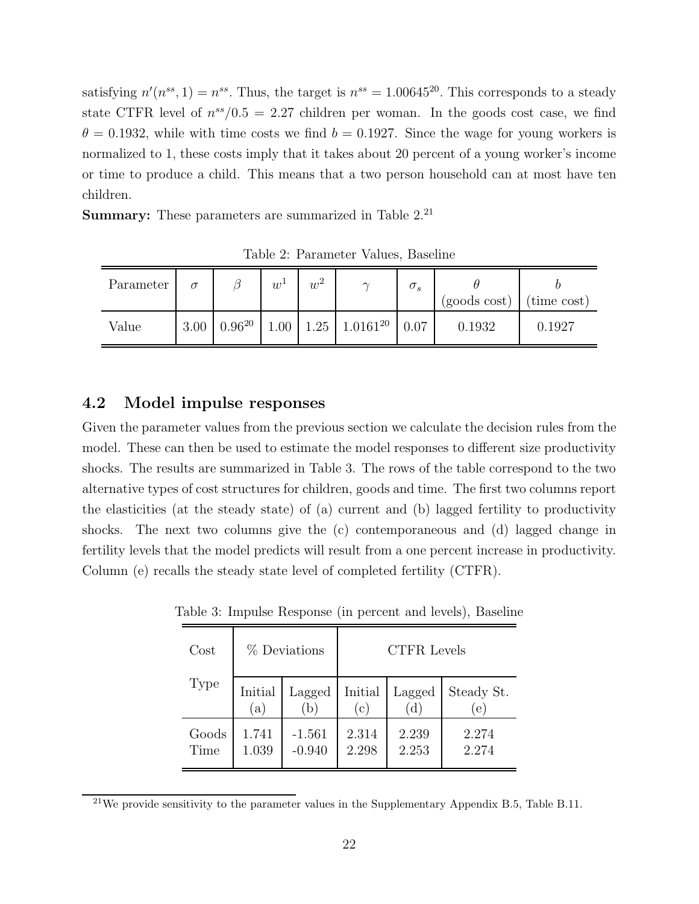satisfying  $n'(n^{ss}, 1) = n^{ss}$ . Thus, the target is  $n^{ss} = 1.00645^{20}$ . This corresponds to a steady state CTFR level of  $n^{ss}/0.5=2.27$  children per woman. In the goods cost case, we find  $\theta = 0.1932$ , while with time costs we find  $b = 0.1927$ . Since the wage for young workers is normalized to 1, these costs imply that it takes about 20 percent of a young worker's income or time to produce a child. This means that a two person household can at most have ten children.

**Summary:** These parameters are summarized in Table 2.<sup>21</sup>

| Parameter | σ    |             | $w^{\perp}$ | റ<br>$w^2$ | $\sim$                                      | $\sigma_s$ | $(goods cost)$ (time cost) |        |
|-----------|------|-------------|-------------|------------|---------------------------------------------|------------|----------------------------|--------|
| Value     | 3.00 | $0.96^{20}$ |             |            | $1.00 \mid 1.25 \mid 1.0161^{20} \mid 0.07$ |            | 0.1932                     | 0.1927 |

Table 2: Parameter Values, Baseline

### 4.2 Model impulse responses

Given the parameter values from the previous section we calculate the decision rules from the model. These can then be used to estimate the model responses to different size productivity shocks. The results are summarized in Table 3. The rows of the table correspond to the two alternative types of cost structures for children, goods and time. The first two columns report the elasticities (at the steady state) of (a) current and (b) lagged fertility to productivity shocks. The next two columns give the (c) contemporaneous and (d) lagged change in fertility levels that the model predicts will result from a one percent increase in productivity. Column (e) recalls the steady state level of completed fertility (CTFR).

| Cost  |         | % Deviations | <b>CTFR</b> Levels |        |            |  |
|-------|---------|--------------|--------------------|--------|------------|--|
| Type  | Initial | Lagged       | Initial            | Lagged | Steady St. |  |
|       | a       | b            | (c)                | d.     | (e)        |  |
| Goods | 1.741   | $-1.561$     | 2.314              | 2.239  | 2.274      |  |
| Time  | 1.039   | $-0.940$     | 2.298              | 2.253  | 2.274      |  |

Table 3: Impulse Response (in percent and levels), Baseline

 $^{21}$ We provide sensitivity to the parameter values in the Supplementary Appendix B.5, Table B.11.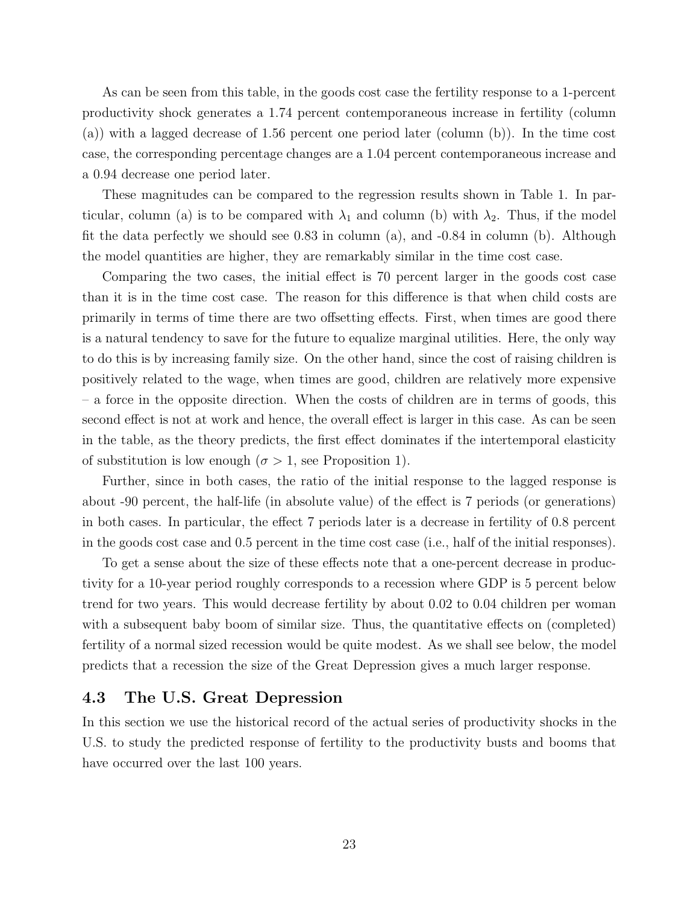As can be seen from this table, in the goods cost case the fertility response to a 1-percent productivity shock generates a 1.74 percent contemporaneous increase in fertility (column (a)) with a lagged decrease of 1.56 percent one period later (column (b)). In the time cost case, the corresponding percentage changes are a 1.04 percent contemporaneous increase and a 0.94 decrease one period later.

These magnitudes can be compared to the regression results shown in Table 1. In particular, column (a) is to be compared with  $\lambda_1$  and column (b) with  $\lambda_2$ . Thus, if the model fit the data perfectly we should see 0.83 in column (a), and -0.84 in column (b). Although the model quantities are higher, they are remarkably similar in the time cost case.

Comparing the two cases, the initial effect is 70 percent larger in the goods cost case than it is in the time cost case. The reason for this difference is that when child costs are primarily in terms of time there are two offsetting effects. First, when times are good there is a natural tendency to save for the future to equalize marginal utilities. Here, the only way to do this is by increasing family size. On the other hand, since the cost of raising children is positively related to the wage, when times are good, children are relatively more expensive – a force in the opposite direction. When the costs of children are in terms of goods, this second effect is not at work and hence, the overall effect is larger in this case. As can be seen in the table, as the theory predicts, the first effect dominates if the intertemporal elasticity of substitution is low enough ( $\sigma > 1$ , see Proposition 1).

Further, since in both cases, the ratio of the initial response to the lagged response is about -90 percent, the half-life (in absolute value) of the effect is 7 periods (or generations) in both cases. In particular, the effect 7 periods later is a decrease in fertility of 0.8 percent in the goods cost case and 0.5 percent in the time cost case (i.e., half of the initial responses).

To get a sense about the size of these effects note that a one-percent decrease in productivity for a 10-year period roughly corresponds to a recession where GDP is 5 percent below trend for two years. This would decrease fertility by about 0.02 to 0.04 children per woman with a subsequent baby boom of similar size. Thus, the quantitative effects on (completed) fertility of a normal sized recession would be quite modest. As we shall see below, the model predicts that a recession the size of the Great Depression gives a much larger response.

#### 4.3 The U.S. Great Depression

In this section we use the historical record of the actual series of productivity shocks in the U.S. to study the predicted response of fertility to the productivity busts and booms that have occurred over the last 100 years.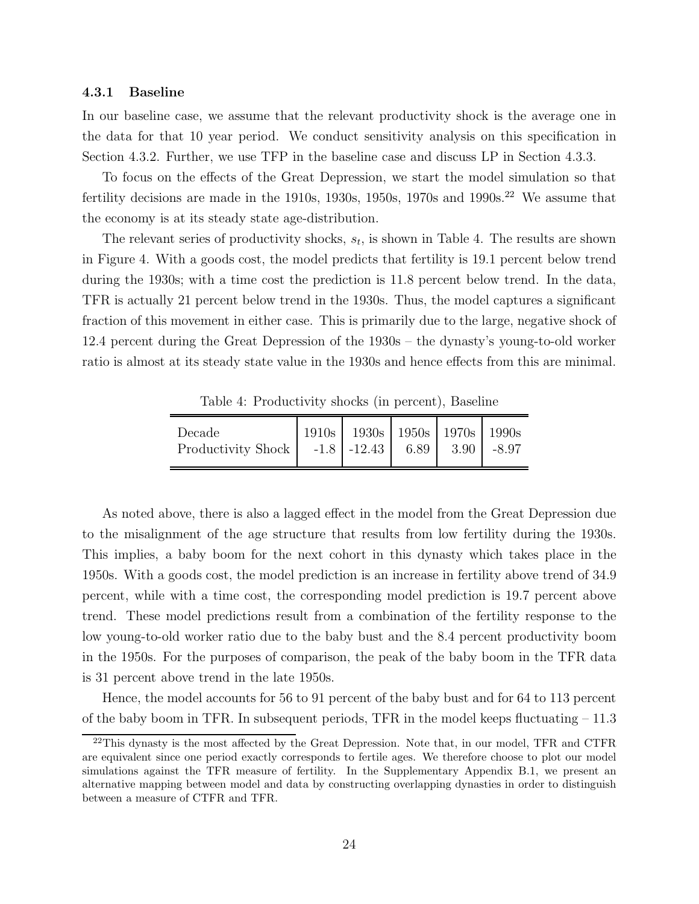#### 4.3.1 Baseline

In our baseline case, we assume that the relevant productivity shock is the average one in the data for that 10 year period. We conduct sensitivity analysis on this specification in Section 4.3.2. Further, we use TFP in the baseline case and discuss LP in Section 4.3.3.

To focus on the effects of the Great Depression, we start the model simulation so that fertility decisions are made in the 1910s, 1930s, 1950s, 1970s and 1990s.<sup>22</sup> We assume that the economy is at its steady state age-distribution.

The relevant series of productivity shocks,  $s_t$ , is shown in Table 4. The results are shown in Figure 4. With a goods cost, the model predicts that fertility is 19.1 percent below trend during the 1930s; with a time cost the prediction is 11.8 percent below trend. In the data, TFR is actually 21 percent below trend in the 1930s. Thus, the model captures a significant fraction of this movement in either case. This is primarily due to the large, negative shock of 12.4 percent during the Great Depression of the 1930s – the dynasty's young-to-old worker ratio is almost at its steady state value in the 1930s and hence effects from this are minimal.

| Decade<br>Productivity Shock   -1.8   -12.43   6.89   3.90   -8.97 | 1910s   1930s   1950s   1970s   1990s |  |  |
|--------------------------------------------------------------------|---------------------------------------|--|--|

Table 4: Productivity shocks (in percent), Baseline

As noted above, there is also a lagged effect in the model from the Great Depression due to the misalignment of the age structure that results from low fertility during the 1930s. This implies, a baby boom for the next cohort in this dynasty which takes place in the 1950s. With a goods cost, the model prediction is an increase in fertility above trend of 34.9 percent, while with a time cost, the corresponding model prediction is 19.7 percent above trend. These model predictions result from a combination of the fertility response to the low young-to-old worker ratio due to the baby bust and the 8.4 percent productivity boom in the 1950s. For the purposes of comparison, the peak of the baby boom in the TFR data is 31 percent above trend in the late 1950s.

Hence, the model accounts for 56 to 91 percent of the baby bust and for 64 to 113 percent of the baby boom in TFR. In subsequent periods, TFR in the model keeps fluctuating – 11.3

<sup>&</sup>lt;sup>22</sup>This dynasty is the most affected by the Great Depression. Note that, in our model, TFR and CTFR are equivalent since one period exactly corresponds to fertile ages. We therefore choose to plot our model simulations against the TFR measure of fertility. In the Supplementary Appendix B.1, we present an alternative mapping between model and data by constructing overlapping dynasties in order to distinguish between a measure of CTFR and TFR.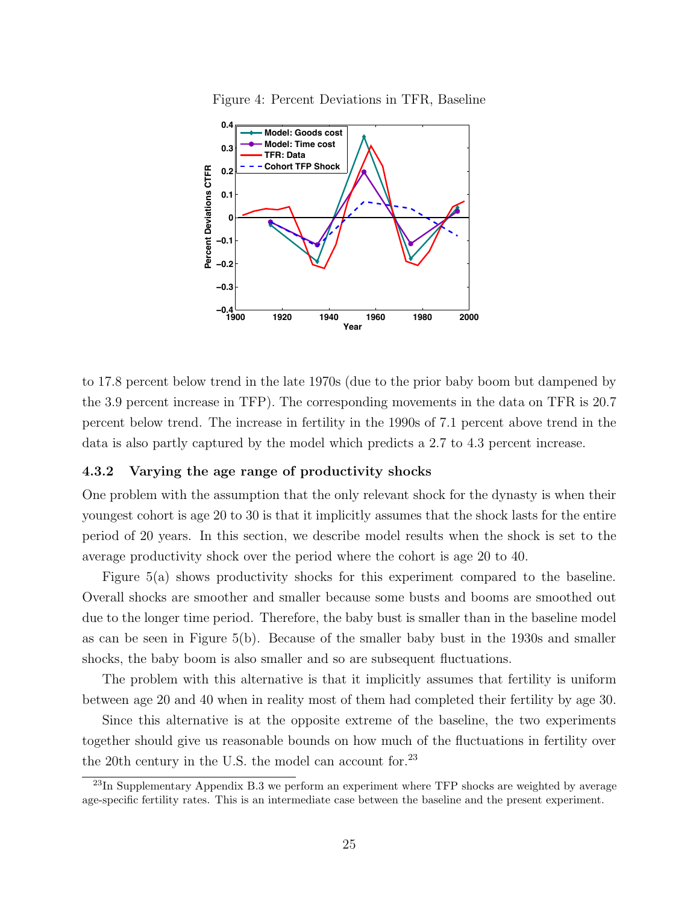

Figure 4: Percent Deviations in TFR, Baseline

to 17.8 percent below trend in the late 1970s (due to the prior baby boom but dampened by the 3.9 percent increase in TFP). The corresponding movements in the data on TFR is 20.7 percent below trend. The increase in fertility in the 1990s of 7.1 percent above trend in the data is also partly captured by the model which predicts a 2.7 to 4.3 percent increase.

#### 4.3.2 Varying the age range of productivity shocks

One problem with the assumption that the only relevant shock for the dynasty is when their youngest cohort is age 20 to 30 is that it implicitly assumes that the shock lasts for the entire period of 20 years. In this section, we describe model results when the shock is set to the average productivity shock over the period where the cohort is age 20 to 40.

Figure 5(a) shows productivity shocks for this experiment compared to the baseline. Overall shocks are smoother and smaller because some busts and booms are smoothed out due to the longer time period. Therefore, the baby bust is smaller than in the baseline model as can be seen in Figure 5(b). Because of the smaller baby bust in the 1930s and smaller shocks, the baby boom is also smaller and so are subsequent fluctuations.

The problem with this alternative is that it implicitly assumes that fertility is uniform between age 20 and 40 when in reality most of them had completed their fertility by age 30.

Since this alternative is at the opposite extreme of the baseline, the two experiments together should give us reasonable bounds on how much of the fluctuations in fertility over the 20th century in the U.S. the model can account for.<sup>23</sup>

 $^{23}$ In Supplementary Appendix B.3 we perform an experiment where TFP shocks are weighted by average age-specific fertility rates. This is an intermediate case between the baseline and the present experiment.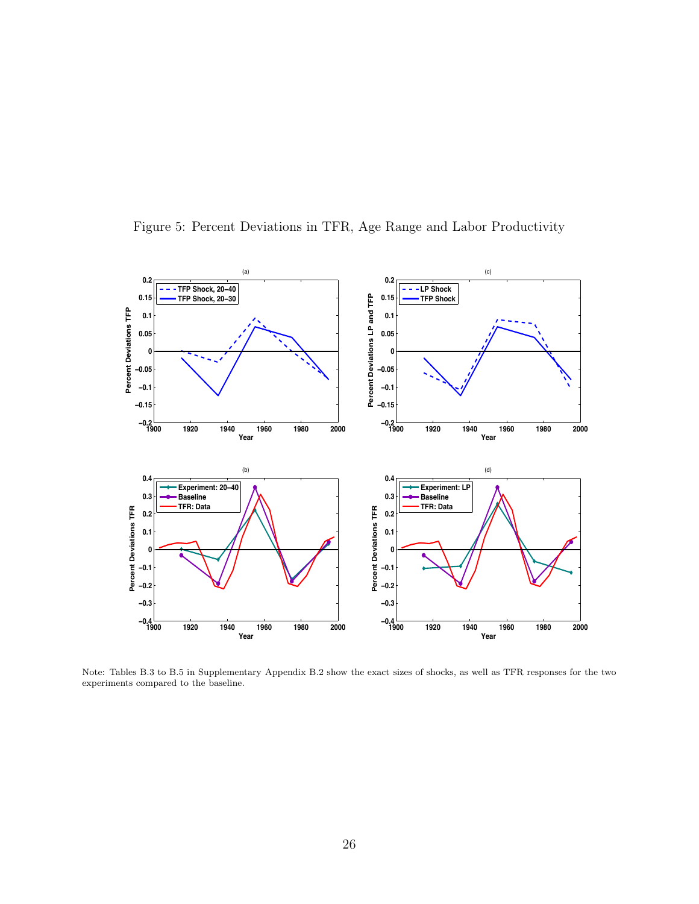

Figure 5: Percent Deviations in TFR, Age Range and Labor Productivity

Note: Tables B.3 to B.5 in Supplementary Appendix B.2 show the exact sizes of shocks, as well as TFR responses for the two experiments compared to the baseline.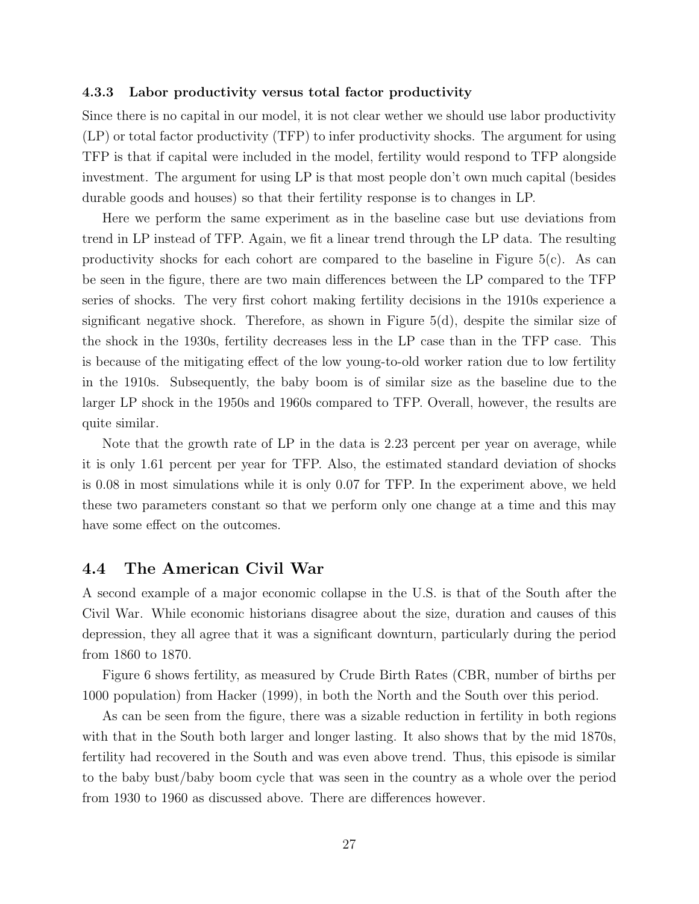#### 4.3.3 Labor productivity versus total factor productivity

Since there is no capital in our model, it is not clear wether we should use labor productivity (LP) or total factor productivity (TFP) to infer productivity shocks. The argument for using TFP is that if capital were included in the model, fertility would respond to TFP alongside investment. The argument for using LP is that most people don't own much capital (besides durable goods and houses) so that their fertility response is to changes in LP.

Here we perform the same experiment as in the baseline case but use deviations from trend in LP instead of TFP. Again, we fit a linear trend through the LP data. The resulting productivity shocks for each cohort are compared to the baseline in Figure  $5(c)$ . As can be seen in the figure, there are two main differences between the LP compared to the TFP series of shocks. The very first cohort making fertility decisions in the 1910s experience a significant negative shock. Therefore, as shown in Figure 5(d), despite the similar size of the shock in the 1930s, fertility decreases less in the LP case than in the TFP case. This is because of the mitigating effect of the low young-to-old worker ration due to low fertility in the 1910s. Subsequently, the baby boom is of similar size as the baseline due to the larger LP shock in the 1950s and 1960s compared to TFP. Overall, however, the results are quite similar.

Note that the growth rate of LP in the data is 2.23 percent per year on average, while it is only 1.61 percent per year for TFP. Also, the estimated standard deviation of shocks is 0.08 in most simulations while it is only 0.07 for TFP. In the experiment above, we held these two parameters constant so that we perform only one change at a time and this may have some effect on the outcomes.

#### 4.4 The American Civil War

A second example of a major economic collapse in the U.S. is that of the South after the Civil War. While economic historians disagree about the size, duration and causes of this depression, they all agree that it was a significant downturn, particularly during the period from 1860 to 1870.

Figure 6 shows fertility, as measured by Crude Birth Rates (CBR, number of births per 1000 population) from Hacker (1999), in both the North and the South over this period.

As can be seen from the figure, there was a sizable reduction in fertility in both regions with that in the South both larger and longer lasting. It also shows that by the mid 1870s, fertility had recovered in the South and was even above trend. Thus, this episode is similar to the baby bust/baby boom cycle that was seen in the country as a whole over the period from 1930 to 1960 as discussed above. There are differences however.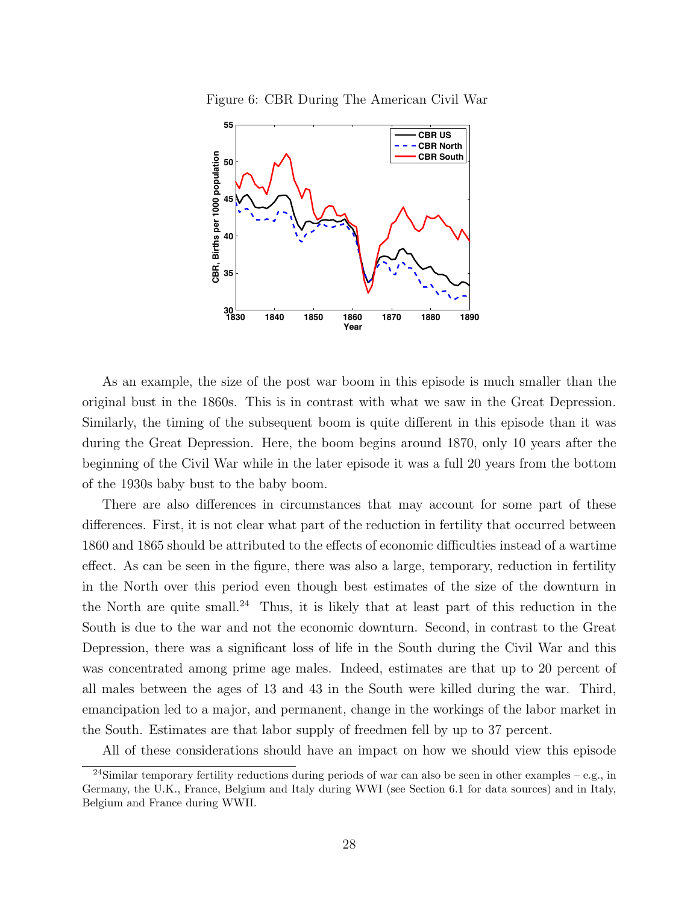



As an example, the size of the post war boom in this episode is much smaller than the original bust in the 1860s. This is in contrast with what we saw in the Great Depression. Similarly, the timing of the subsequent boom is quite different in this episode than it was during the Great Depression. Here, the boom begins around 1870, only 10 years after the beginning of the Civil War while in the later episode it was a full 20 years from the bottom of the 1930s baby bust to the baby boom.

There are also differences in circumstances that may account for some part of these differences. First, it is not clear what part of the reduction in fertility that occurred between 1860 and 1865 should be attributed to the effects of economic difficulties instead of a wartime effect. As can be seen in the figure, there was also a large, temporary, reduction in fertility in the North over this period even though best estimates of the size of the downturn in the North are quite small.<sup>24</sup> Thus, it is likely that at least part of this reduction in the South is due to the war and not the economic downturn. Second, in contrast to the Great Depression, there was a significant loss of life in the South during the Civil War and this was concentrated among prime age males. Indeed, estimates are that up to 20 percent of all males between the ages of 13 and 43 in the South were killed during the war. Third, emancipation led to a major, and permanent, change in the workings of the labor market in the South. Estimates are that labor supply of freedmen fell by up to 37 percent.

All of these considerations should have an impact on how we should view this episode

<sup>&</sup>lt;sup>24</sup>Similar temporary fertility reductions during periods of war can also be seen in other examples – e.g., in Germany, the U.K., France, Belgium and Italy during WWI (see Section 6.1 for data sources) and in Italy, Belgium and France during WWII.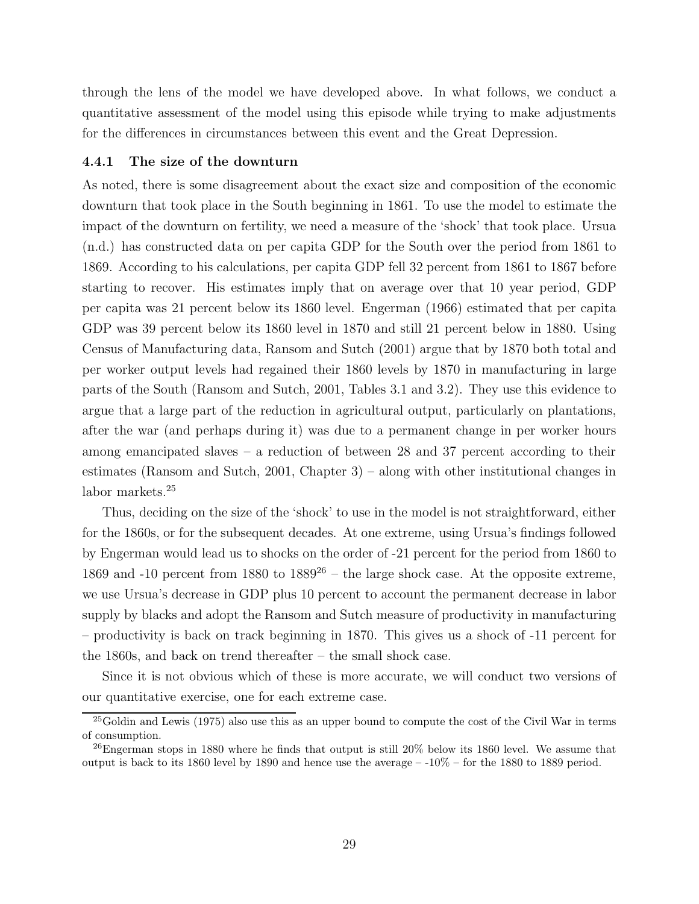through the lens of the model we have developed above. In what follows, we conduct a quantitative assessment of the model using this episode while trying to make adjustments for the differences in circumstances between this event and the Great Depression.

#### 4.4.1 The size of the downturn

As noted, there is some disagreement about the exact size and composition of the economic downturn that took place in the South beginning in 1861. To use the model to estimate the impact of the downturn on fertility, we need a measure of the 'shock' that took place. Ursua (n.d.) has constructed data on per capita GDP for the South over the period from 1861 to 1869. According to his calculations, per capita GDP fell 32 percent from 1861 to 1867 before starting to recover. His estimates imply that on average over that 10 year period, GDP per capita was 21 percent below its 1860 level. Engerman (1966) estimated that per capita GDP was 39 percent below its 1860 level in 1870 and still 21 percent below in 1880. Using Census of Manufacturing data, Ransom and Sutch (2001) argue that by 1870 both total and per worker output levels had regained their 1860 levels by 1870 in manufacturing in large parts of the South (Ransom and Sutch, 2001, Tables 3.1 and 3.2). They use this evidence to argue that a large part of the reduction in agricultural output, particularly on plantations, after the war (and perhaps during it) was due to a permanent change in per worker hours among emancipated slaves – a reduction of between 28 and 37 percent according to their estimates (Ransom and Sutch, 2001, Chapter 3) – along with other institutional changes in labor markets.<sup>25</sup>

Thus, deciding on the size of the 'shock' to use in the model is not straightforward, either for the 1860s, or for the subsequent decades. At one extreme, using Ursua's findings followed by Engerman would lead us to shocks on the order of -21 percent for the period from 1860 to 1869 and -10 percent from 1880 to  $1889^{26}$  – the large shock case. At the opposite extreme, we use Ursua's decrease in GDP plus 10 percent to account the permanent decrease in labor supply by blacks and adopt the Ransom and Sutch measure of productivity in manufacturing – productivity is back on track beginning in 1870. This gives us a shock of -11 percent for the 1860s, and back on trend thereafter – the small shock case.

Since it is not obvious which of these is more accurate, we will conduct two versions of our quantitative exercise, one for each extreme case.

<sup>25</sup>Goldin and Lewis (1975) also use this as an upper bound to compute the cost of the Civil War in terms of consumption.

<sup>&</sup>lt;sup>26</sup>Engerman stops in 1880 where he finds that output is still  $20\%$  below its 1860 level. We assume that output is back to its 1860 level by 1890 and hence use the average  $-10\%$  – for the 1880 to 1889 period.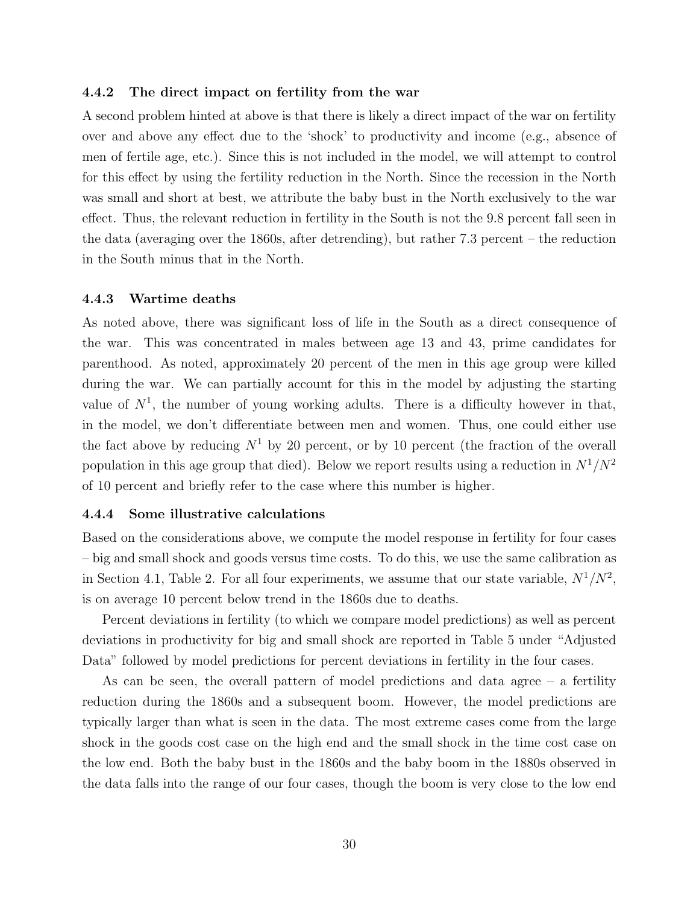#### 4.4.2 The direct impact on fertility from the war

A second problem hinted at above is that there is likely a direct impact of the war on fertility over and above any effect due to the 'shock' to productivity and income (e.g., absence of men of fertile age, etc.). Since this is not included in the model, we will attempt to control for this effect by using the fertility reduction in the North. Since the recession in the North was small and short at best, we attribute the baby bust in the North exclusively to the war effect. Thus, the relevant reduction in fertility in the South is not the 9.8 percent fall seen in the data (averaging over the 1860s, after detrending), but rather 7.3 percent – the reduction in the South minus that in the North.

#### 4.4.3 Wartime deaths

As noted above, there was significant loss of life in the South as a direct consequence of the war. This was concentrated in males between age 13 and 43, prime candidates for parenthood. As noted, approximately 20 percent of the men in this age group were killed during the war. We can partially account for this in the model by adjusting the starting value of  $N^1$ , the number of young working adults. There is a difficulty however in that, in the model, we don't differentiate between men and women. Thus, one could either use the fact above by reducing  $N^1$  by 20 percent, or by 10 percent (the fraction of the overall population in this age group that died). Below we report results using a reduction in  $N^1/N^2$ of 10 percent and briefly refer to the case where this number is higher.

#### 4.4.4 Some illustrative calculations

Based on the considerations above, we compute the model response in fertility for four cases – big and small shock and goods versus time costs. To do this, we use the same calibration as in Section 4.1, Table 2. For all four experiments, we assume that our state variable,  $N^1/N^2$ , is on average 10 percent below trend in the 1860s due to deaths.

Percent deviations in fertility (to which we compare model predictions) as well as percent deviations in productivity for big and small shock are reported in Table 5 under "Adjusted Data" followed by model predictions for percent deviations in fertility in the four cases.

As can be seen, the overall pattern of model predictions and data agree – a fertility reduction during the 1860s and a subsequent boom. However, the model predictions are typically larger than what is seen in the data. The most extreme cases come from the large shock in the goods cost case on the high end and the small shock in the time cost case on the low end. Both the baby bust in the 1860s and the baby boom in the 1880s observed in the data falls into the range of our four cases, though the boom is very close to the low end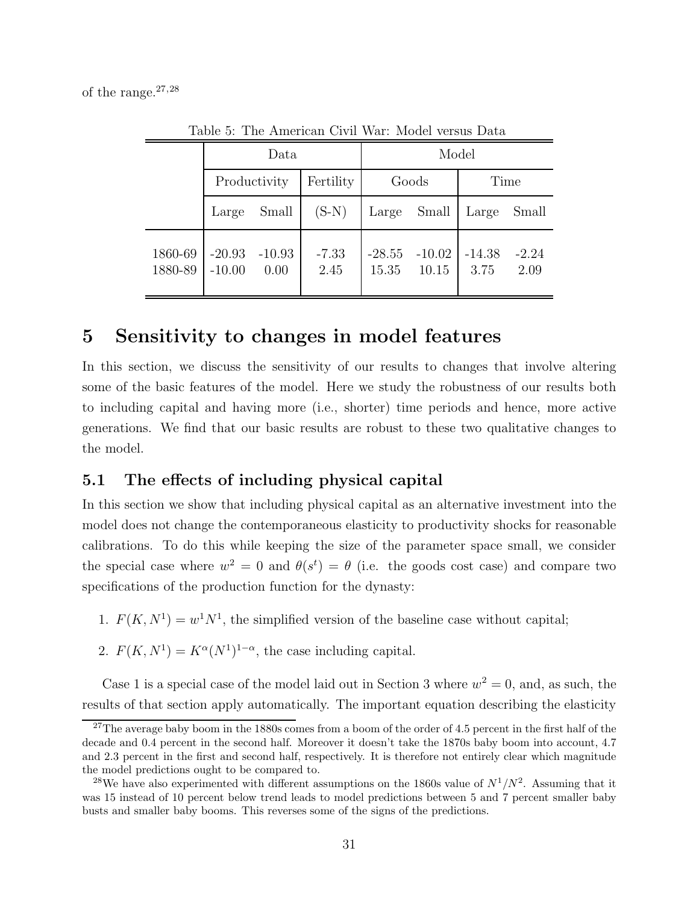of the range. $27,28$ 

f,

|                    | Data                 |                  |                 | Model             |                   |                  |                 |
|--------------------|----------------------|------------------|-----------------|-------------------|-------------------|------------------|-----------------|
|                    | Productivity         |                  | Fertility       | Goods             |                   | Time             |                 |
|                    | Large                | Small            | $(S-N)$         | Large             | Small             | Large            | Small           |
| 1860-69<br>1880-89 | $-20.93$<br>$-10.00$ | $-10.93$<br>0.00 | $-7.33$<br>2.45 | $-28.55$<br>15.35 | $-10.02$<br>10.15 | $-14.38$<br>3.75 | $-2.24$<br>2.09 |

Table 5: The American Civil War: Model versus Data

# 5 Sensitivity to changes in model features

In this section, we discuss the sensitivity of our results to changes that involve altering some of the basic features of the model. Here we study the robustness of our results both to including capital and having more (i.e., shorter) time periods and hence, more active generations. We find that our basic results are robust to these two qualitative changes to the model.

## 5.1 The effects of including physical capital

In this section we show that including physical capital as an alternative investment into the model does not change the contemporaneous elasticity to productivity shocks for reasonable calibrations. To do this while keeping the size of the parameter space small, we consider the special case where  $w^2 = 0$  and  $\theta(s^t) = \theta$  (i.e. the goods cost case) and compare two specifications of the production function for the dynasty:

- 1.  $F(K, N^1) = w^1 N^1$ , the simplified version of the baseline case without capital;
- 2.  $F(K, N^1) = K^{\alpha}(N^1)^{1-\alpha}$ , the case including capital.

Case 1 is a special case of the model laid out in Section 3 where  $w^2 = 0$ , and, as such, the results of that section apply automatically. The important equation describing the elasticity

<sup>&</sup>lt;sup>27</sup>The average baby boom in the 1880s comes from a boom of the order of 4.5 percent in the first half of the decade and 0.4 percent in the second half. Moreover it doesn't take the 1870s baby boom into account, 4.7 and 2.3 percent in the first and second half, respectively. It is therefore not entirely clear which magnitude the model predictions ought to be compared to.

<sup>&</sup>lt;sup>28</sup>We have also experimented with different assumptions on the 1860s value of  $N^1/N^2$ . Assuming that it was 15 instead of 10 percent below trend leads to model predictions between 5 and 7 percent smaller baby busts and smaller baby booms. This reverses some of the signs of the predictions.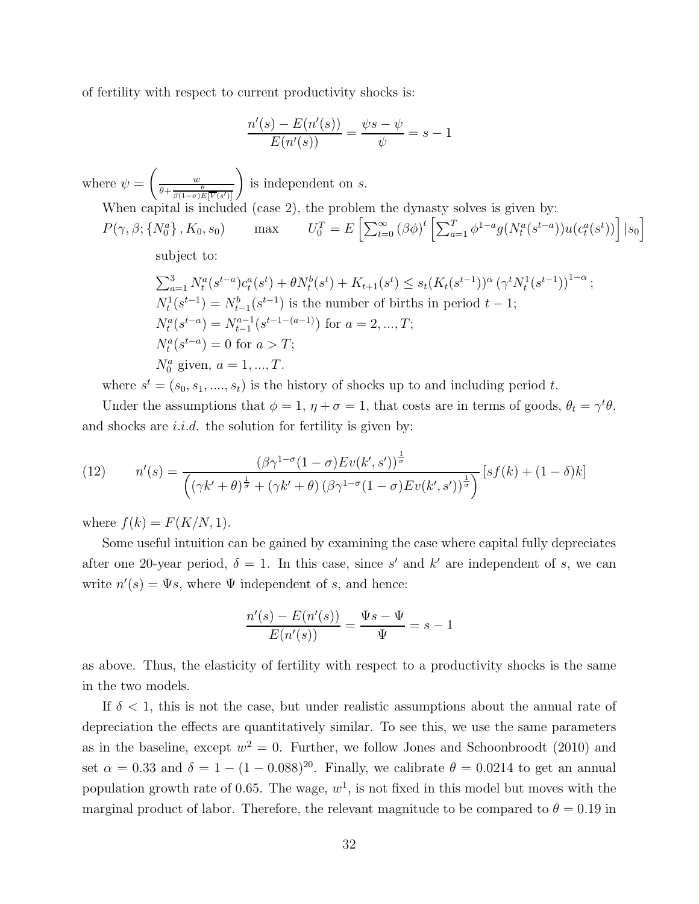of fertility with respect to current productivity shocks is:

$$
\frac{n'(s) - E(n'(s))}{E(n'(s))} = \frac{\psi s - \psi}{\psi} = s - 1
$$

where  $\psi =$  $\begin{pmatrix} w \\ w \end{pmatrix}$  $\theta + \frac{\theta}{\beta(1-\sigma)E[\overline{V}(s')]}.$  $\setminus$ is independent on s.

When capital is included (case 2), the problem the dynasty solves is given by:  
\n
$$
P(\gamma, \beta; \{N_0^a\}, K_0, s_0) \qquad \text{max} \qquad U_0^T = E\left[\sum_{t=0}^{\infty} (\beta \phi)^t \left[\sum_{a=1}^T \phi^{1-a} g(N_t^a(s^{t-a})) u(c_t^a(s^t))\right] \big| s_0\right]
$$

subject to:

$$
\sum_{a=1}^{3} N_t^a (s^{t-a}) c_t^a (s^t) + \theta N_t^b (s^t) + K_{t+1} (s^t) \le s_t (K_t (s^{t-1}))^\alpha (\gamma^t N_t^1 (s^{t-1}))^{1-\alpha};
$$
  
\n
$$
N_t^1 (s^{t-1}) = N_{t-1}^b (s^{t-1})
$$
 is the number of births in period  $t - 1$ ;  
\n
$$
N_t^a (s^{t-a}) = N_{t-1}^{a-1} (s^{t-1-(a-1)})
$$
 for  $a = 2, ..., T$ ;  
\n
$$
N_t^a (s^{t-a}) = 0
$$
 for  $a > T$ ;  
\n
$$
N_0^a
$$
 given,  $a = 1, ..., T$ .

where  $s^t = (s_0, s_1, ..., s_t)$  is the history of shocks up to and including period t.

Under the assumptions that  $\phi = 1$ ,  $\eta + \sigma = 1$ , that costs are in terms of goods,  $\theta_t = \gamma^t \theta$ , and shocks are  $i.i.d.$  the solution for fertility is given by:

(12) 
$$
n'(s) = \frac{(\beta \gamma^{1-\sigma} (1-\sigma)Ev(k',s'))^{\frac{1}{\sigma}}}{\left( (\gamma k' + \theta)^{\frac{1}{\sigma}} + (\gamma k' + \theta) (\beta \gamma^{1-\sigma} (1-\sigma)Ev(k',s'))^{\frac{1}{\sigma}} \right)} [sf(k) + (1-\delta)k]
$$

where  $f(k) = F(K/N, 1)$ .

Some useful intuition can be gained by examining the case where capital fully depreciates after one 20-year period,  $\delta = 1$ . In this case, since s' and k' are independent of s, we can write  $n'(s) = \Psi s$ , where  $\Psi$  independent of s, and hence:

$$
\frac{n'(s) - E(n'(s))}{E(n'(s))} = \frac{\Psi s - \Psi}{\Psi} = s - 1
$$

as above. Thus, the elasticity of fertility with respect to a productivity shocks is the same in the two models.

If  $\delta$  < 1, this is not the case, but under realistic assumptions about the annual rate of depreciation the effects are quantitatively similar. To see this, we use the same parameters as in the baseline, except  $w^2 = 0$ . Further, we follow Jones and Schoonbroodt (2010) and set  $\alpha = 0.33$  and  $\delta = 1 - (1 - 0.088)^{20}$ . Finally, we calibrate  $\theta = 0.0214$  to get an annual population growth rate of 0.65. The wage,  $w^1$ , is not fixed in this model but moves with the marginal product of labor. Therefore, the relevant magnitude to be compared to  $\theta = 0.19$  in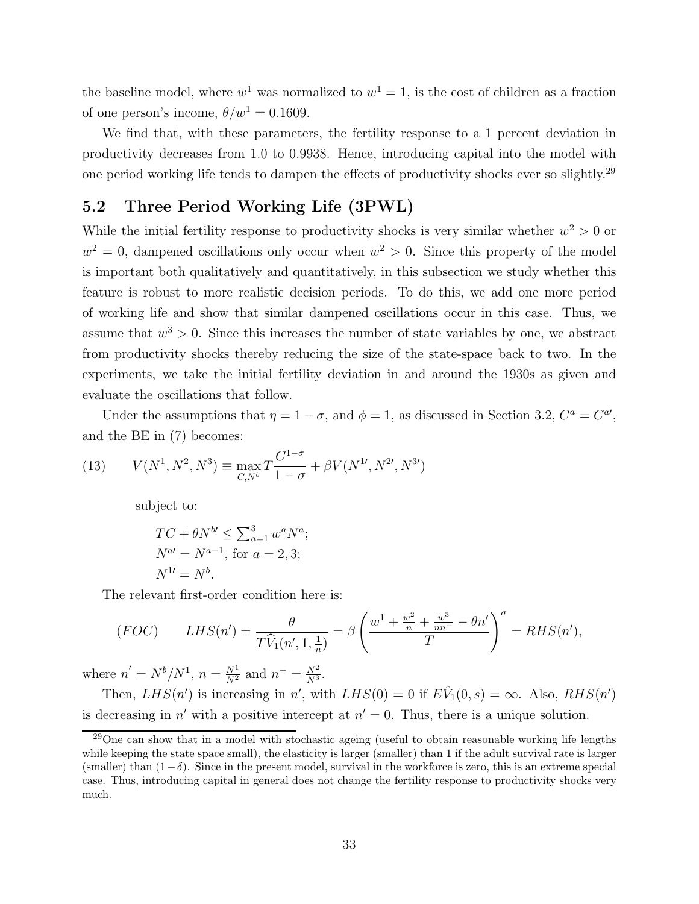the baseline model, where  $w^1$  was normalized to  $w^1 = 1$ , is the cost of children as a fraction of one person's income,  $\theta/w^1 = 0.1609$ .

We find that, with these parameters, the fertility response to a 1 percent deviation in productivity decreases from 1.0 to 0.9938. Hence, introducing capital into the model with one period working life tends to dampen the effects of productivity shocks ever so slightly.<sup>29</sup>

### 5.2 Three Period Working Life (3PWL)

While the initial fertility response to productivity shocks is very similar whether  $w^2 > 0$  or  $w^2 = 0$ , dampened oscillations only occur when  $w^2 > 0$ . Since this property of the model is important both qualitatively and quantitatively, in this subsection we study whether this feature is robust to more realistic decision periods. To do this, we add one more period of working life and show that similar dampened oscillations occur in this case. Thus, we assume that  $w^3 > 0$ . Since this increases the number of state variables by one, we abstract from productivity shocks thereby reducing the size of the state-space back to two. In the experiments, we take the initial fertility deviation in and around the 1930s as given and evaluate the oscillations that follow.

Under the assumptions that  $\eta = 1 - \sigma$ , and  $\phi = 1$ , as discussed in Section 3.2,  $C^a = C^{a'}$ , and the BE in (7) becomes:

(13) 
$$
V(N^1, N^2, N^3) \equiv \max_{C, N^b} T \frac{C^{1-\sigma}}{1-\sigma} + \beta V(N^{1\prime}, N^{2\prime}, N^{3\prime})
$$

subject to:

$$
TC + \theta N^{b} \le \sum_{a=1}^{3} w^{a} N^{a};
$$
  
\n
$$
N^{a} = N^{a-1}, \text{ for } a = 2, 3;
$$
  
\n
$$
N^{1} = N^{b}.
$$

The relevant first-order condition here is:

$$
(FOC) \qquad LHS(n') = \frac{\theta}{T\widehat{V}_1(n', 1, \frac{1}{n})} = \beta \left(\frac{w^1 + \frac{w^2}{n} + \frac{w^3}{nn^-} - \theta n'}{T}\right)^{\sigma} = RHS(n'),
$$

where  $n' = N^b/N^1$ ,  $n = \frac{N^1}{N^2}$  and  $n^- = \frac{N^2}{N^3}$ .

Then,  $LHS(n')$  is increasing in n', with  $LHS(0) = 0$  if  $E\hat{V}_1(0, s) = \infty$ . Also,  $RHS(n')$ is decreasing in n' with a positive intercept at  $n' = 0$ . Thus, there is a unique solution.

<sup>&</sup>lt;sup>29</sup>One can show that in a model with stochastic ageing (useful to obtain reasonable working life lengths while keeping the state space small), the elasticity is larger (smaller) than 1 if the adult survival rate is larger (smaller) than  $(1-\delta)$ . Since in the present model, survival in the workforce is zero, this is an extreme special case. Thus, introducing capital in general does not change the fertility response to productivity shocks very much.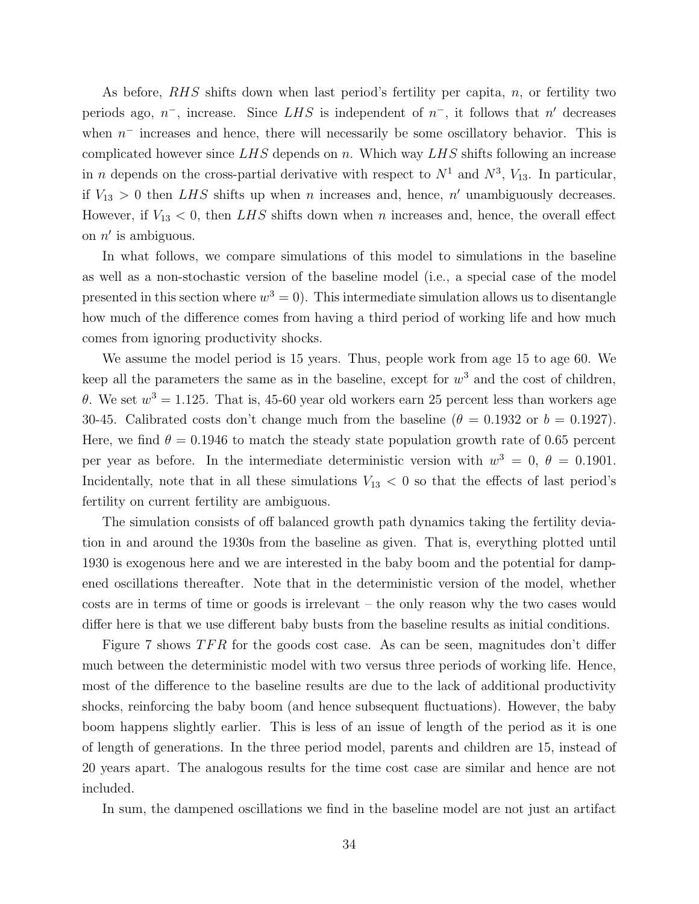As before, RHS shifts down when last period's fertility per capita, n, or fertility two periods ago,  $n^-$ , increase. Since LHS is independent of  $n^-$ , it follows that n' decreases when  $n^-$  increases and hence, there will necessarily be some oscillatory behavior. This is complicated however since  $LHS$  depends on n. Which way  $LHS$  shifts following an increase in n depends on the cross-partial derivative with respect to  $N^1$  and  $N^3$ ,  $V_{13}$ . In particular, if  $V_{13} > 0$  then LHS shifts up when n increases and, hence, n' unambiguously decreases. However, if  $V_{13} < 0$ , then LHS shifts down when n increases and, hence, the overall effect on  $n'$  is ambiguous.

In what follows, we compare simulations of this model to simulations in the baseline as well as a non-stochastic version of the baseline model (i.e., a special case of the model presented in this section where  $w^3 = 0$ ). This intermediate simulation allows us to disentangle how much of the difference comes from having a third period of working life and how much comes from ignoring productivity shocks.

We assume the model period is 15 years. Thus, people work from age 15 to age 60. We keep all the parameters the same as in the baseline, except for  $w^3$  and the cost of children, θ. We set  $w^3 = 1.125$ . That is, 45-60 year old workers earn 25 percent less than workers age 30-45. Calibrated costs don't change much from the baseline ( $\theta = 0.1932$  or  $b = 0.1927$ ). Here, we find  $\theta = 0.1946$  to match the steady state population growth rate of 0.65 percent per year as before. In the intermediate deterministic version with  $w^3 = 0$ ,  $\theta = 0.1901$ . Incidentally, note that in all these simulations  $V_{13} < 0$  so that the effects of last period's fertility on current fertility are ambiguous.

The simulation consists of off balanced growth path dynamics taking the fertility deviation in and around the 1930s from the baseline as given. That is, everything plotted until 1930 is exogenous here and we are interested in the baby boom and the potential for dampened oscillations thereafter. Note that in the deterministic version of the model, whether costs are in terms of time or goods is irrelevant – the only reason why the two cases would differ here is that we use different baby busts from the baseline results as initial conditions.

Figure 7 shows  $TFR$  for the goods cost case. As can be seen, magnitudes don't differ much between the deterministic model with two versus three periods of working life. Hence, most of the difference to the baseline results are due to the lack of additional productivity shocks, reinforcing the baby boom (and hence subsequent fluctuations). However, the baby boom happens slightly earlier. This is less of an issue of length of the period as it is one of length of generations. In the three period model, parents and children are 15, instead of 20 years apart. The analogous results for the time cost case are similar and hence are not included.

In sum, the dampened oscillations we find in the baseline model are not just an artifact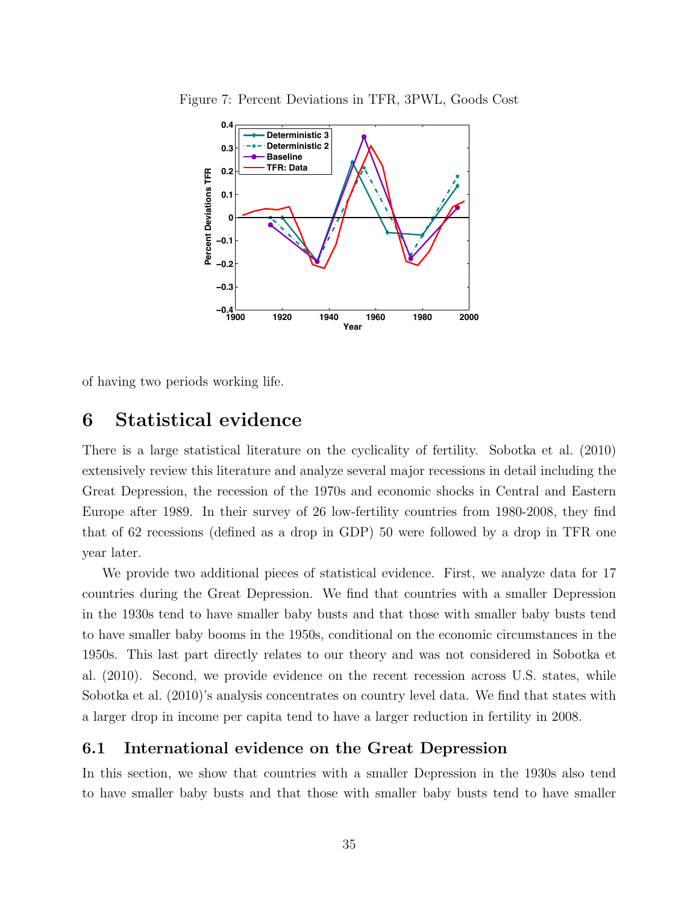

Figure 7: Percent Deviations in TFR, 3PWL, Goods Cost

of having two periods working life.

# 6 Statistical evidence

There is a large statistical literature on the cyclicality of fertility. Sobotka et al. (2010) extensively review this literature and analyze several major recessions in detail including the Great Depression, the recession of the 1970s and economic shocks in Central and Eastern Europe after 1989. In their survey of 26 low-fertility countries from 1980-2008, they find that of 62 recessions (defined as a drop in GDP) 50 were followed by a drop in TFR one year later.

We provide two additional pieces of statistical evidence. First, we analyze data for 17 countries during the Great Depression. We find that countries with a smaller Depression in the 1930s tend to have smaller baby busts and that those with smaller baby busts tend to have smaller baby booms in the 1950s, conditional on the economic circumstances in the 1950s. This last part directly relates to our theory and was not considered in Sobotka et al. (2010). Second, we provide evidence on the recent recession across U.S. states, while Sobotka et al. (2010)'s analysis concentrates on country level data. We find that states with a larger drop in income per capita tend to have a larger reduction in fertility in 2008.

### 6.1 International evidence on the Great Depression

In this section, we show that countries with a smaller Depression in the 1930s also tend to have smaller baby busts and that those with smaller baby busts tend to have smaller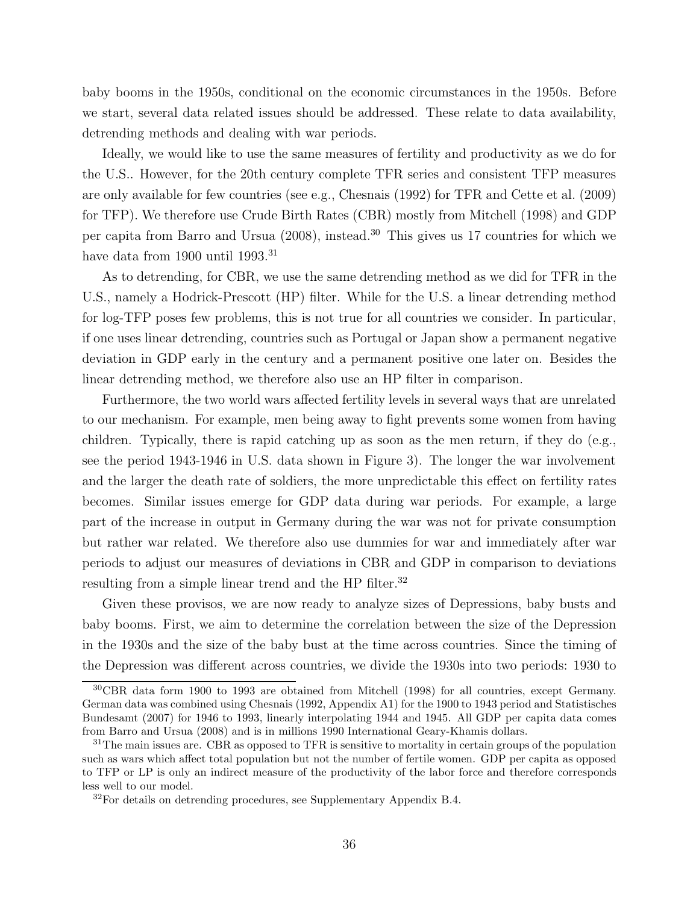baby booms in the 1950s, conditional on the economic circumstances in the 1950s. Before we start, several data related issues should be addressed. These relate to data availability, detrending methods and dealing with war periods.

Ideally, we would like to use the same measures of fertility and productivity as we do for the U.S.. However, for the 20th century complete TFR series and consistent TFP measures are only available for few countries (see e.g., Chesnais (1992) for TFR and Cette et al. (2009) for TFP). We therefore use Crude Birth Rates (CBR) mostly from Mitchell (1998) and GDP per capita from Barro and Ursua (2008), instead.<sup>30</sup> This gives us 17 countries for which we have data from 1900 until 1993.<sup>31</sup>

As to detrending, for CBR, we use the same detrending method as we did for TFR in the U.S., namely a Hodrick-Prescott (HP) filter. While for the U.S. a linear detrending method for log-TFP poses few problems, this is not true for all countries we consider. In particular, if one uses linear detrending, countries such as Portugal or Japan show a permanent negative deviation in GDP early in the century and a permanent positive one later on. Besides the linear detrending method, we therefore also use an HP filter in comparison.

Furthermore, the two world wars affected fertility levels in several ways that are unrelated to our mechanism. For example, men being away to fight prevents some women from having children. Typically, there is rapid catching up as soon as the men return, if they do  $(e.g.,)$ see the period 1943-1946 in U.S. data shown in Figure 3). The longer the war involvement and the larger the death rate of soldiers, the more unpredictable this effect on fertility rates becomes. Similar issues emerge for GDP data during war periods. For example, a large part of the increase in output in Germany during the war was not for private consumption but rather war related. We therefore also use dummies for war and immediately after war periods to adjust our measures of deviations in CBR and GDP in comparison to deviations resulting from a simple linear trend and the HP filter.<sup>32</sup>

Given these provisos, we are now ready to analyze sizes of Depressions, baby busts and baby booms. First, we aim to determine the correlation between the size of the Depression in the 1930s and the size of the baby bust at the time across countries. Since the timing of the Depression was different across countries, we divide the 1930s into two periods: 1930 to

<sup>30</sup>CBR data form 1900 to 1993 are obtained from Mitchell (1998) for all countries, except Germany. German data was combined using Chesnais (1992, Appendix A1) for the 1900 to 1943 period and Statistisches Bundesamt (2007) for 1946 to 1993, linearly interpolating 1944 and 1945. All GDP per capita data comes from Barro and Ursua (2008) and is in millions 1990 International Geary-Khamis dollars.

 $31$ The main issues are. CBR as opposed to TFR is sensitive to mortality in certain groups of the population such as wars which affect total population but not the number of fertile women. GDP per capita as opposed to TFP or LP is only an indirect measure of the productivity of the labor force and therefore corresponds less well to our model.

 $32$ For details on detrending procedures, see Supplementary Appendix B.4.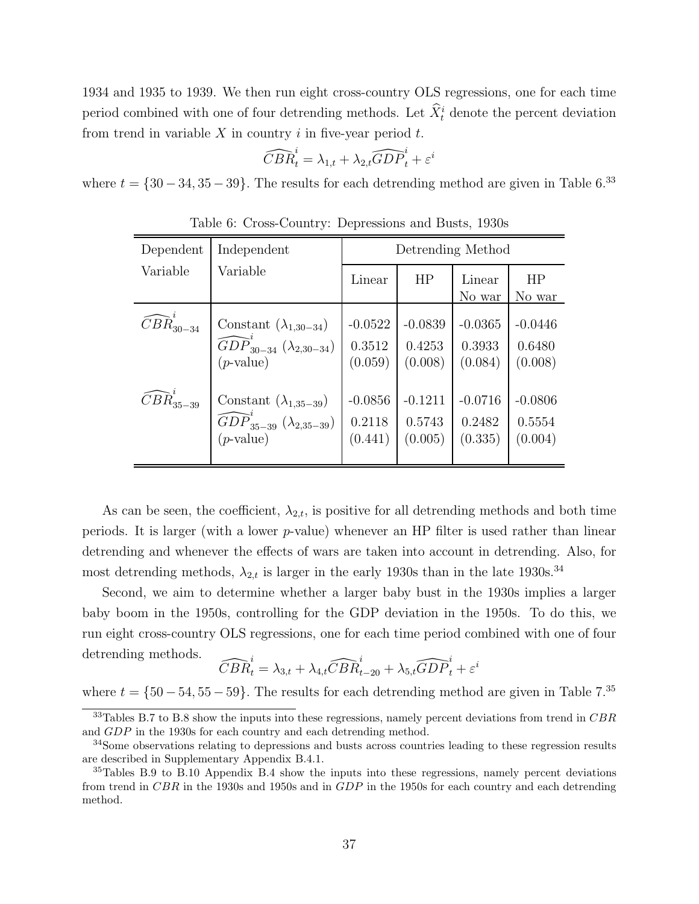1934 and 1935 to 1939. We then run eight cross-country OLS regressions, one for each time period combined with one of four detrending methods. Let  $\hat{X}_t^i$  denote the percent deviation from trend in variable  $X$  in country  $i$  in five-year period  $t$ .

$$
\widehat{CBR}^i_t = \lambda_{1,t} + \lambda_{2,t} \widehat{GDP}^i_t + \varepsilon^i
$$

where  $t = \{30 - 34, 35 - 39\}$ . The results for each detrending method are given in Table 6.<sup>33</sup>

| Dependent                         | Independent                                          | Detrending Method |           |                  |                     |  |
|-----------------------------------|------------------------------------------------------|-------------------|-----------|------------------|---------------------|--|
| Variable                          | Variable                                             | Linear            | HP        | Linear<br>No war | <b>HP</b><br>No war |  |
| $\widehat{C}B\widehat{R}_{30-34}$ | Constant $(\lambda_{1,30-34})$                       | $-0.0522$         | $-0.0839$ | $-0.0365$        | $-0.0446$           |  |
|                                   | $\widehat{GDP}_{30-34}^{\prime} (\lambda_{2,30-34})$ | 0.3512            | 0.4253    | 0.3933           | 0.6480              |  |
|                                   | $(p$ -value)                                         | (0.059)           | (0.008)   | (0.084)          | (0.008)             |  |
| $\widehat{CBR}_{35-39}^{\cdot}$   | Constant $(\lambda_{1,35-39})$                       | $-0.0856$         | $-0.1211$ | $-0.0716$        | $-0.0806$           |  |
|                                   | $\widehat{GDP}_{35-39}^{'} (\lambda_{2,35-39})$      | 0.2118            | 0.5743    | 0.2482           | 0.5554              |  |
|                                   | $(p\text{-value})$                                   | (0.441)           | (0.005)   | (0.335)          | (0.004)             |  |

Table 6: Cross-Country: Depressions and Busts, 1930s

As can be seen, the coefficient,  $\lambda_{2,t}$ , is positive for all detrending methods and both time periods. It is larger (with a lower  $p$ -value) whenever an HP filter is used rather than linear detrending and whenever the effects of wars are taken into account in detrending. Also, for most detrending methods,  $\lambda_{2,t}$  is larger in the early 1930s than in the late 1930s.<sup>34</sup>

Second, we aim to determine whether a larger baby bust in the 1930s implies a larger baby boom in the 1950s, controlling for the GDP deviation in the 1950s. To do this, we run eight cross-country OLS regressions, one for each time period combined with one of four detrending methods.

$$
\widehat{CBR}_t^i = \lambda_{3,t} + \lambda_{4,t}\widehat{CBR}_{t-20}^i + \lambda_{5,t}\widehat{GDP}_t^i + \varepsilon^i
$$

where  $t = \{50 - 54, 55 - 59\}$ . The results for each detrending method are given in Table 7.<sup>35</sup>

 $33$ Tables B.7 to B.8 show the inputs into these regressions, namely percent deviations from trend in CBR and GDP in the 1930s for each country and each detrending method.

<sup>34</sup>Some observations relating to depressions and busts across countries leading to these regression results are described in Supplementary Appendix B.4.1.

<sup>&</sup>lt;sup>35</sup>Tables B.9 to B.10 Appendix B.4 show the inputs into these regressions, namely percent deviations from trend in CBR in the 1930s and 1950s and in GDP in the 1950s for each country and each detrending method.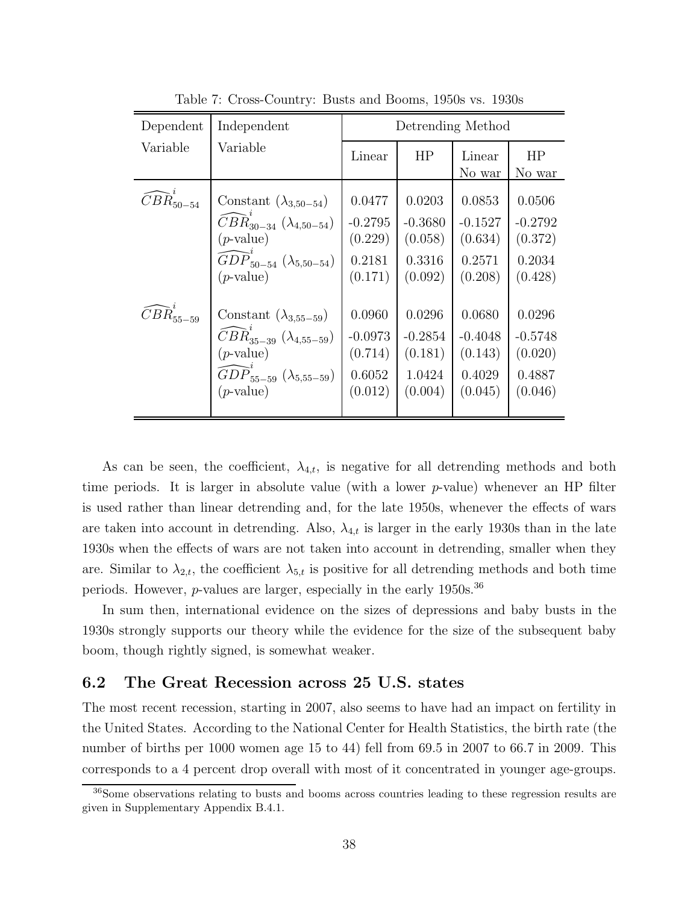| Dependent                          | Independent                                              | Detrending Method |           |                  |              |
|------------------------------------|----------------------------------------------------------|-------------------|-----------|------------------|--------------|
| Variable                           | Variable                                                 | Linear            | HP        | Linear<br>No war | HP<br>No war |
| $\widehat{CBR}_{50-54}^{\cdot}$    | Constant $(\lambda_{3,50-54})$                           | 0.0477            | 0.0203    | 0.0853           | 0.0506       |
|                                    | $CBR_{30-34} (\lambda_{4,50-54})$                        | $-0.2795$         | $-0.3680$ | $-0.1527$        | $-0.2792$    |
|                                    | $(p\text{-value})$                                       | (0.229)           | (0.058)   | (0.634)          | (0.372)      |
|                                    | $\widehat{GDP}_{50-54}^{(1)} (\lambda_{5,50-54})$        | 0.2181            | 0.3316    | 0.2571           | 0.2034       |
|                                    | $(p\text{-value})$                                       | (0.171)           | (0.092)   | (0.208)          | (0.428)      |
| $\widehat{CBR}^{\epsilon}_{55-59}$ | Constant $(\lambda_{3,55-59})$                           | 0.0960            | 0.0296    | 0.0680           | 0.0296       |
|                                    | $\widehat{C}B\widehat{R}_{35-39} \; (\lambda_{4,55-59})$ | $-0.0973$         | $-0.2854$ | $-0.4048$        | $-0.5748$    |
|                                    | $(p\text{-value})$                                       | (0.714)           | (0.181)   | (0.143)          | (0.020)      |
|                                    | $\widehat{GDP}_{55-59} (\lambda_{5,55-59})$              | 0.6052            | 1.0424    | 0.4029           | 0.4887       |
|                                    | $(p\text{-value})$                                       | (0.012)           | (0.004)   | (0.045)          | (0.046)      |

Table 7: Cross-Country: Busts and Booms, 1950s vs. 1930s

As can be seen, the coefficient,  $\lambda_{4,t}$ , is negative for all detrending methods and both time periods. It is larger in absolute value (with a lower  $p$ -value) whenever an HP filter is used rather than linear detrending and, for the late 1950s, whenever the effects of wars are taken into account in detrending. Also,  $\lambda_{4,t}$  is larger in the early 1930s than in the late 1930s when the effects of wars are not taken into account in detrending, smaller when they are. Similar to  $\lambda_{2,t}$ , the coefficient  $\lambda_{5,t}$  is positive for all detrending methods and both time periods. However,  $p$ -values are larger, especially in the early 1950s.<sup>36</sup>

In sum then, international evidence on the sizes of depressions and baby busts in the 1930s strongly supports our theory while the evidence for the size of the subsequent baby boom, though rightly signed, is somewhat weaker.

### 6.2 The Great Recession across 25 U.S. states

The most recent recession, starting in 2007, also seems to have had an impact on fertility in the United States. According to the National Center for Health Statistics, the birth rate (the number of births per 1000 women age 15 to 44) fell from 69.5 in 2007 to 66.7 in 2009. This corresponds to a 4 percent drop overall with most of it concentrated in younger age-groups.

<sup>36</sup>Some observations relating to busts and booms across countries leading to these regression results are given in Supplementary Appendix B.4.1.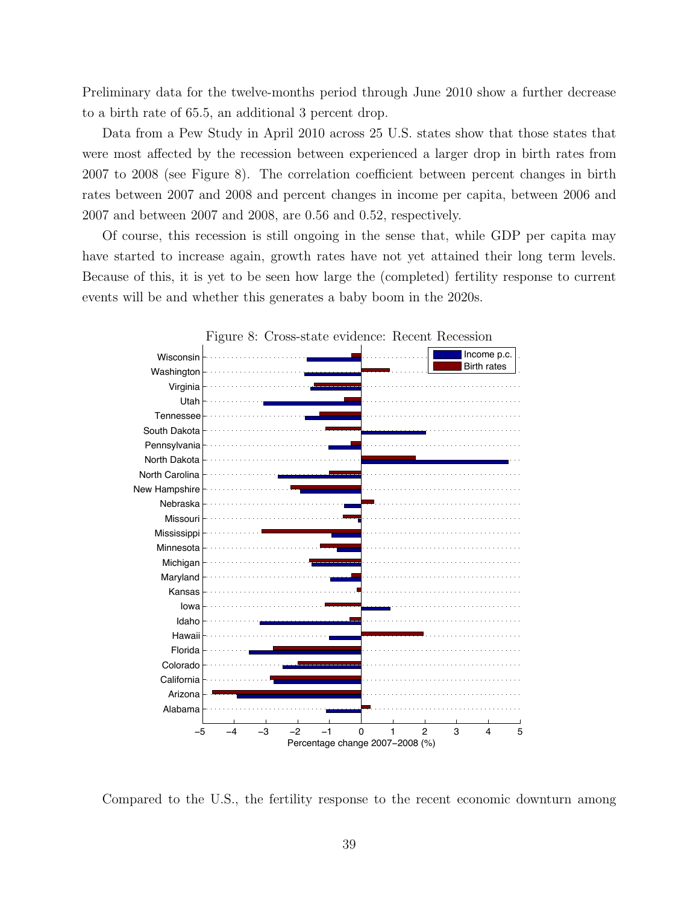Preliminary data for the twelve-months period through June 2010 show a further decrease to a birth rate of 65.5, an additional 3 percent drop.

Data from a Pew Study in April 2010 across 25 U.S. states show that those states that were most affected by the recession between experienced a larger drop in birth rates from 2007 to 2008 (see Figure 8). The correlation coefficient between percent changes in birth rates between 2007 and 2008 and percent changes in income per capita, between 2006 and 2007 and between 2007 and 2008, are 0.56 and 0.52, respectively.

Of course, this recession is still ongoing in the sense that, while GDP per capita may have started to increase again, growth rates have not yet attained their long term levels. Because of this, it is yet to be seen how large the (completed) fertility response to current events will be and whether this generates a baby boom in the 2020s.



Compared to the U.S., the fertility response to the recent economic downturn among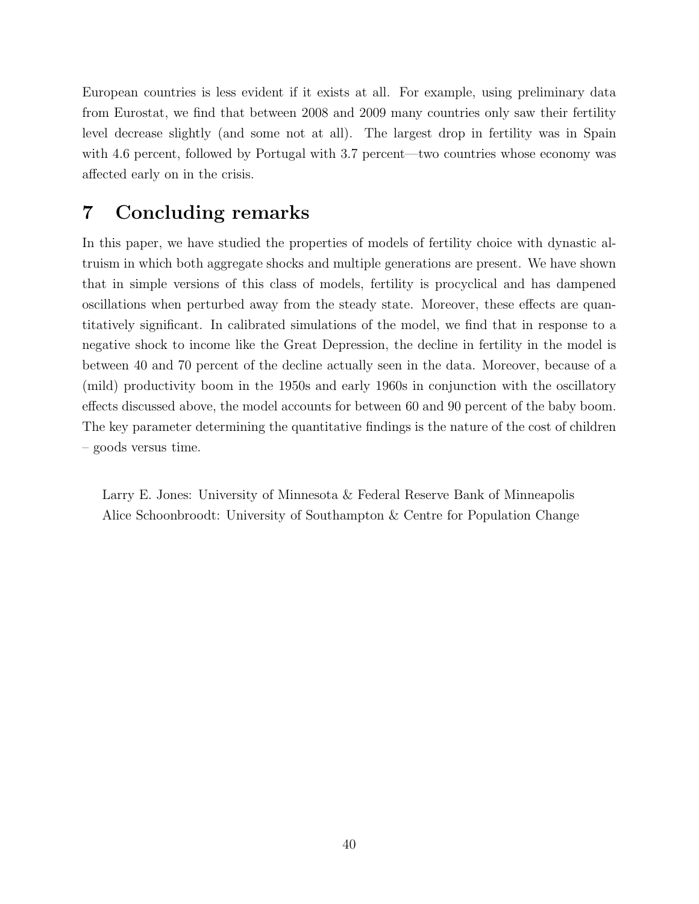European countries is less evident if it exists at all. For example, using preliminary data from Eurostat, we find that between 2008 and 2009 many countries only saw their fertility level decrease slightly (and some not at all). The largest drop in fertility was in Spain with 4.6 percent, followed by Portugal with 3.7 percent—two countries whose economy was affected early on in the crisis.

# 7 Concluding remarks

In this paper, we have studied the properties of models of fertility choice with dynastic altruism in which both aggregate shocks and multiple generations are present. We have shown that in simple versions of this class of models, fertility is procyclical and has dampened oscillations when perturbed away from the steady state. Moreover, these effects are quantitatively significant. In calibrated simulations of the model, we find that in response to a negative shock to income like the Great Depression, the decline in fertility in the model is between 40 and 70 percent of the decline actually seen in the data. Moreover, because of a (mild) productivity boom in the 1950s and early 1960s in conjunction with the oscillatory effects discussed above, the model accounts for between 60 and 90 percent of the baby boom. The key parameter determining the quantitative findings is the nature of the cost of children – goods versus time.

Larry E. Jones: University of Minnesota & Federal Reserve Bank of Minneapolis Alice Schoonbroodt: University of Southampton & Centre for Population Change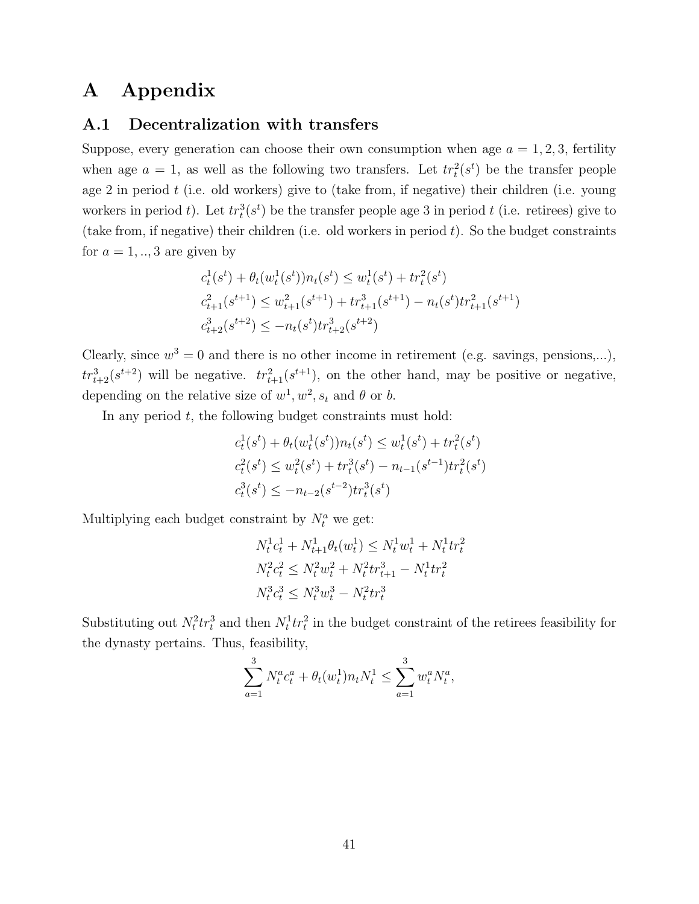# A Appendix

### A.1 Decentralization with transfers

Suppose, every generation can choose their own consumption when age  $a = 1, 2, 3$ , fertility when age  $a = 1$ , as well as the following two transfers. Let  $tr_t^2(s^t)$  be the transfer people age 2 in period  $t$  (i.e. old workers) give to (take from, if negative) their children (i.e. young workers in period t). Let  $tr_t^3(s^t)$  be the transfer people age 3 in period t (i.e. retirees) give to (take from, if negative) their children (i.e. old workers in period  $t$ ). So the budget constraints for  $a = 1, \ldots, 3$  are given by

$$
c_t^1(s^t) + \theta_t(w_t^1(s^t))n_t(s^t) \le w_t^1(s^t) + tr_t^2(s^t)
$$
  

$$
c_{t+1}^2(s^{t+1}) \le w_{t+1}^2(s^{t+1}) + tr_{t+1}^3(s^{t+1}) - n_t(s^t)tr_{t+1}^2(s^{t+1})
$$
  

$$
c_{t+2}^3(s^{t+2}) \le -n_t(s^t)tr_{t+2}^3(s^{t+2})
$$

Clearly, since  $w^3 = 0$  and there is no other income in retirement (e.g. savings, pensions,...),  $tr_{t+2}^{3}(s^{t+2})$  will be negative.  $tr_{t+1}^{2}(s^{t+1})$ , on the other hand, may be positive or negative, depending on the relative size of  $w^1, w^2, s_t$  and  $\theta$  or b.

In any period  $t$ , the following budget constraints must hold:

$$
c_t^1(s^t) + \theta_t(w_t^1(s^t))n_t(s^t) \le w_t^1(s^t) + tr_t^2(s^t)
$$
  

$$
c_t^2(s^t) \le w_t^2(s^t) + tr_t^3(s^t) - n_{t-1}(s^{t-1})tr_t^2(s^t)
$$
  

$$
c_t^3(s^t) \le -n_{t-2}(s^{t-2})tr_t^3(s^t)
$$

Multiplying each budget constraint by  $N_t^a$  we get:

$$
N_t^1 c_t^1 + N_{t+1}^1 \theta_t(w_t^1) \le N_t^1 w_t^1 + N_t^1 t r_t^2
$$
  

$$
N_t^2 c_t^2 \le N_t^2 w_t^2 + N_t^2 t r_{t+1}^3 - N_t^1 t r_t^2
$$
  

$$
N_t^3 c_t^3 \le N_t^3 w_t^3 - N_t^2 t r_t^3
$$

Substituting out  $N_t^2 tr_t^3$  and then  $N_t^1 tr_t^2$  in the budget constraint of the retirees feasibility for the dynasty pertains. Thus, feasibility,

$$
\sum_{a=1}^{3} N_t^a c_t^a + \theta_t(w_t^1) n_t N_t^1 \le \sum_{a=1}^{3} w_t^a N_t^a,
$$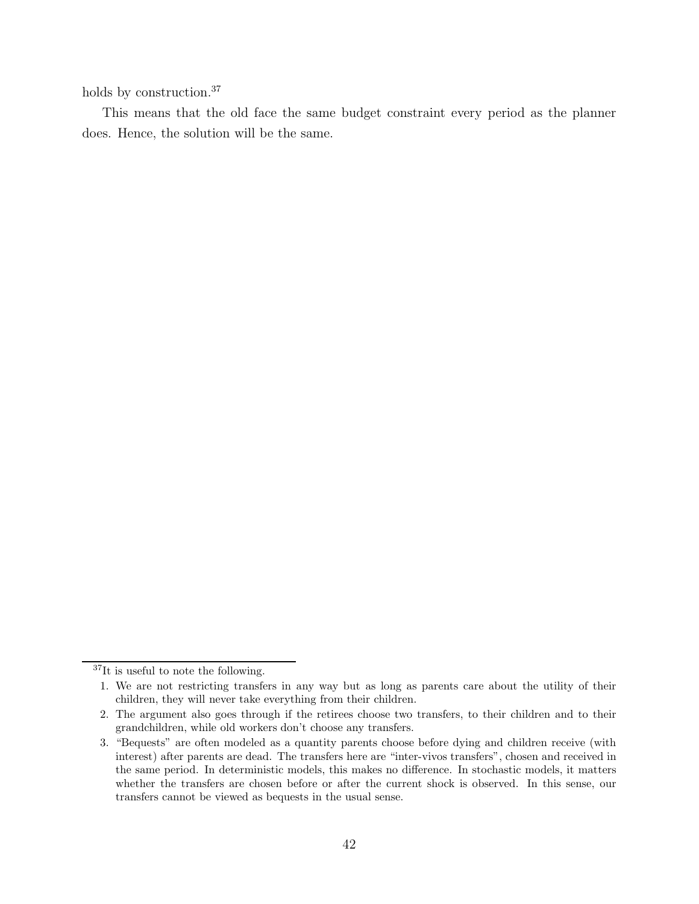holds by construction.<sup>37</sup>

This means that the old face the same budget constraint every period as the planner does. Hence, the solution will be the same.

<sup>37</sup>It is useful to note the following.

<sup>1.</sup> We are not restricting transfers in any way but as long as parents care about the utility of their children, they will never take everything from their children.

<sup>2.</sup> The argument also goes through if the retirees choose two transfers, to their children and to their grandchildren, while old workers don't choose any transfers.

<sup>3. &</sup>quot;Bequests" are often modeled as a quantity parents choose before dying and children receive (with interest) after parents are dead. The transfers here are "inter-vivos transfers", chosen and received in the same period. In deterministic models, this makes no difference. In stochastic models, it matters whether the transfers are chosen before or after the current shock is observed. In this sense, our transfers cannot be viewed as bequests in the usual sense.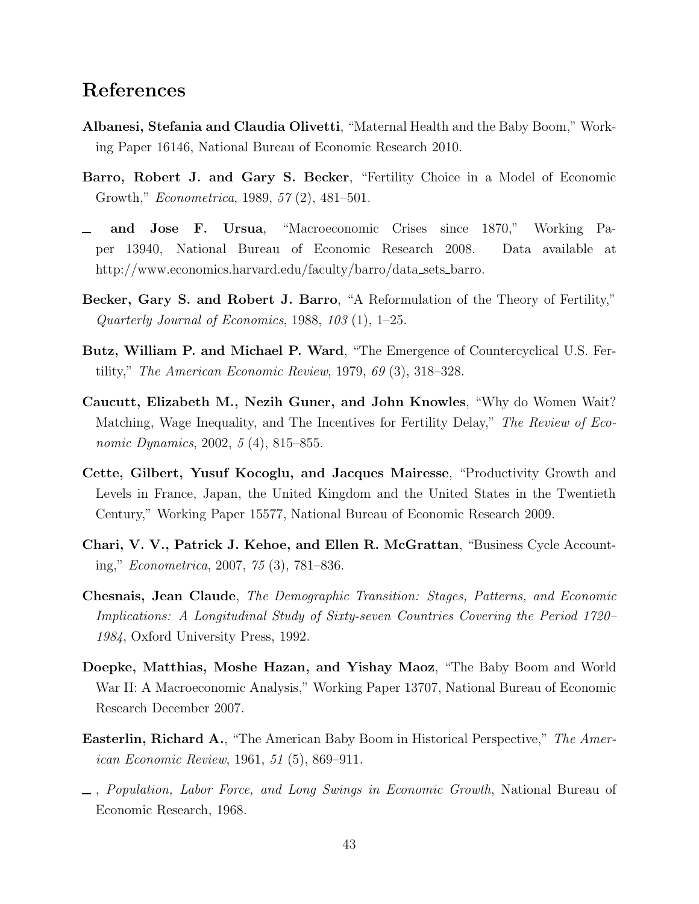# References

- Albanesi, Stefania and Claudia Olivetti, "Maternal Health and the Baby Boom," Working Paper 16146, National Bureau of Economic Research 2010.
- Barro, Robert J. and Gary S. Becker, "Fertility Choice in a Model of Economic Growth," Econometrica, 1989, 57 (2), 481–501.
- and Jose F. Ursua, "Macroeconomic Crises since 1870," Working Paper 13940, National Bureau of Economic Research 2008. Data available at http://www.economics.harvard.edu/faculty/barro/data sets barro.
- Becker, Gary S. and Robert J. Barro, "A Reformulation of the Theory of Fertility," Quarterly Journal of Economics, 1988, 103  $(1)$ , 1–25.
- Butz, William P. and Michael P. Ward, "The Emergence of Countercyclical U.S. Fertility," The American Economic Review, 1979, 69 (3), 318–328.
- Caucutt, Elizabeth M., Nezih Guner, and John Knowles, "Why do Women Wait? Matching, Wage Inequality, and The Incentives for Fertility Delay," The Review of Economic Dynamics, 2002, 5 (4), 815–855.
- Cette, Gilbert, Yusuf Kocoglu, and Jacques Mairesse, "Productivity Growth and Levels in France, Japan, the United Kingdom and the United States in the Twentieth Century," Working Paper 15577, National Bureau of Economic Research 2009.
- Chari, V. V., Patrick J. Kehoe, and Ellen R. McGrattan, "Business Cycle Accounting," Econometrica, 2007, 75 (3), 781–836.
- Chesnais, Jean Claude, The Demographic Transition: Stages, Patterns, and Economic Implications: A Longitudinal Study of Sixty-seven Countries Covering the Period 1720– 1984, Oxford University Press, 1992.
- Doepke, Matthias, Moshe Hazan, and Yishay Maoz, "The Baby Boom and World War II: A Macroeconomic Analysis," Working Paper 13707, National Bureau of Economic Research December 2007.
- Easterlin, Richard A., "The American Baby Boom in Historical Perspective," The American Economic Review, 1961, 51 (5), 869–911.
- , Population, Labor Force, and Long Swings in Economic Growth, National Bureau of Economic Research, 1968.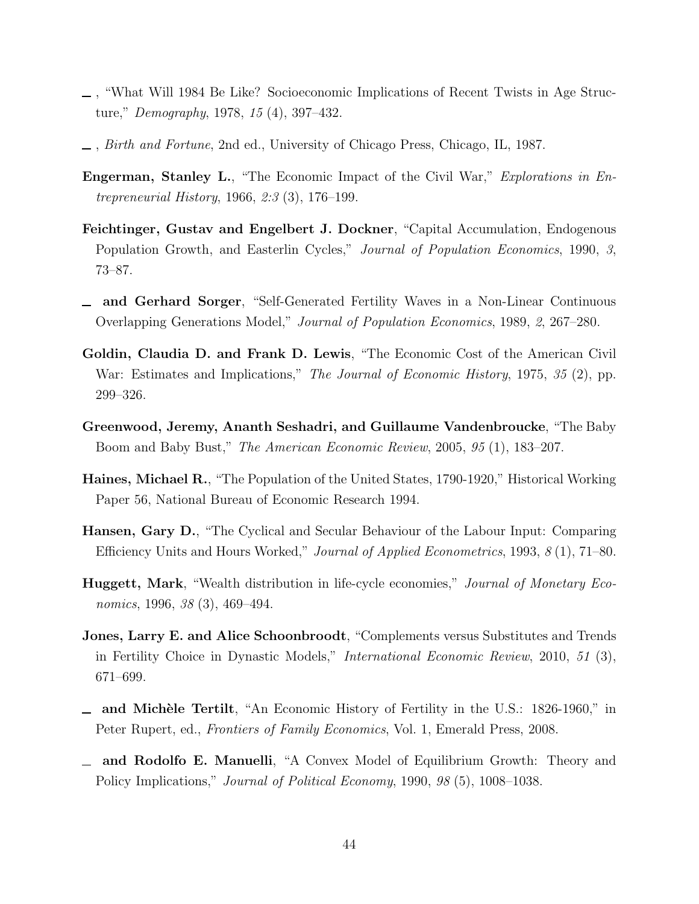- , "What Will 1984 Be Like? Socioeconomic Implications of Recent Twists in Age Structure," Demography, 1978, 15 (4), 397–432.
- , Birth and Fortune, 2nd ed., University of Chicago Press, Chicago, IL, 1987.
- Engerman, Stanley L., "The Economic Impact of the Civil War," Explorations in Entrepreneurial History, 1966, 2:3 (3), 176–199.
- Feichtinger, Gustav and Engelbert J. Dockner, "Capital Accumulation, Endogenous Population Growth, and Easterlin Cycles," Journal of Population Economics, 1990, 3, 73–87.
- and Gerhard Sorger, "Self-Generated Fertility Waves in a Non-Linear Continuous Overlapping Generations Model," Journal of Population Economics, 1989, 2, 267–280.
- Goldin, Claudia D. and Frank D. Lewis, "The Economic Cost of the American Civil War: Estimates and Implications," The Journal of Economic History, 1975, 35 (2), pp. 299–326.
- Greenwood, Jeremy, Ananth Seshadri, and Guillaume Vandenbroucke, "The Baby Boom and Baby Bust," The American Economic Review, 2005, 95 (1), 183–207.
- Haines, Michael R., "The Population of the United States, 1790-1920," Historical Working Paper 56, National Bureau of Economic Research 1994.
- Hansen, Gary D., "The Cyclical and Secular Behaviour of the Labour Input: Comparing Efficiency Units and Hours Worked," Journal of Applied Econometrics, 1993, 8 (1), 71–80.
- Huggett, Mark, "Wealth distribution in life-cycle economies," Journal of Monetary Economics, 1996, 38 (3), 469–494.
- Jones, Larry E. and Alice Schoonbroodt, "Complements versus Substitutes and Trends in Fertility Choice in Dynastic Models," International Economic Review, 2010, 51 (3), 671–699.
- and Michèle Tertilt, "An Economic History of Fertility in the U.S.: 1826-1960," in Peter Rupert, ed., Frontiers of Family Economics, Vol. 1, Emerald Press, 2008.
- and Rodolfo E. Manuelli, "A Convex Model of Equilibrium Growth: Theory and Policy Implications," *Journal of Political Economy*, 1990, 98 (5), 1008–1038.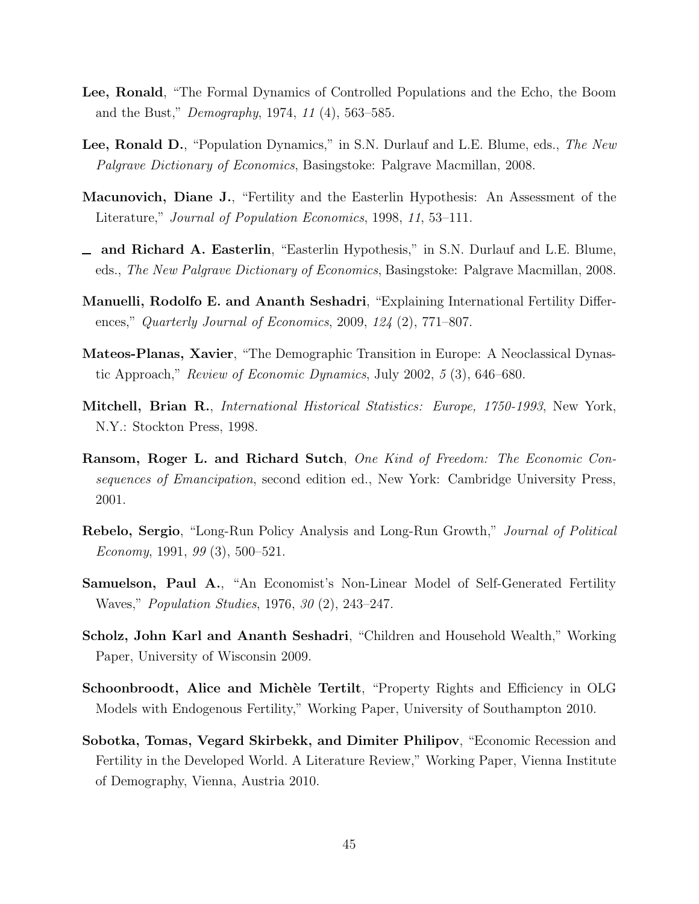- Lee, Ronald, "The Formal Dynamics of Controlled Populations and the Echo, the Boom and the Bust," Demography, 1974, 11 (4), 563–585.
- Lee, Ronald D., "Population Dynamics," in S.N. Durlauf and L.E. Blume, eds., The New Palgrave Dictionary of Economics, Basingstoke: Palgrave Macmillan, 2008.
- Macunovich, Diane J., "Fertility and the Easterlin Hypothesis: An Assessment of the Literature," Journal of Population Economics, 1998, 11, 53–111.
- and Richard A. Easterlin, "Easterlin Hypothesis," in S.N. Durlauf and L.E. Blume, eds., The New Palgrave Dictionary of Economics, Basingstoke: Palgrave Macmillan, 2008.
- Manuelli, Rodolfo E. and Ananth Seshadri, "Explaining International Fertility Differences," Quarterly Journal of Economics, 2009, 124 (2), 771–807.
- Mateos-Planas, Xavier, "The Demographic Transition in Europe: A Neoclassical Dynastic Approach," Review of Economic Dynamics, July 2002, 5 (3), 646–680.
- Mitchell, Brian R., International Historical Statistics: Europe, 1750-1993, New York, N.Y.: Stockton Press, 1998.
- Ransom, Roger L. and Richard Sutch, One Kind of Freedom: The Economic Consequences of Emancipation, second edition ed., New York: Cambridge University Press, 2001.
- Rebelo, Sergio, "Long-Run Policy Analysis and Long-Run Growth," Journal of Political Economy, 1991, 99 (3), 500–521.
- Samuelson, Paul A., "An Economist's Non-Linear Model of Self-Generated Fertility Waves," Population Studies, 1976, 30 (2), 243–247.
- Scholz, John Karl and Ananth Seshadri, "Children and Household Wealth," Working Paper, University of Wisconsin 2009.
- Schoonbroodt, Alice and Michèle Tertilt, "Property Rights and Efficiency in OLG Models with Endogenous Fertility," Working Paper, University of Southampton 2010.
- Sobotka, Tomas, Vegard Skirbekk, and Dimiter Philipov, "Economic Recession and Fertility in the Developed World. A Literature Review," Working Paper, Vienna Institute of Demography, Vienna, Austria 2010.